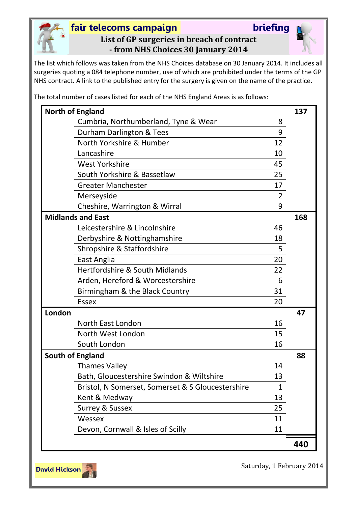# **fair telecoms campaign briefing List of GP surgeries in breach of contract - from NHS Choices 30 January 2014**

The list which follows was taken from the NHS Choices database on 30 January 2014. It includes all surgeries quoting a 084 telephone number, use of which are prohibited under the terms of the GP NHS contract. A link to the published entry for the surgery is given on the name of the practice.

The total number of cases listed for each of the NHS England Areas is as follows:

| <b>North of England</b>                           |                | 137 |
|---------------------------------------------------|----------------|-----|
| Cumbria, Northumberland, Tyne & Wear              | 8              |     |
| Durham Darlington & Tees                          | 9              |     |
| North Yorkshire & Humber                          | 12             |     |
| Lancashire                                        | 10             |     |
| <b>West Yorkshire</b>                             | 45             |     |
| South Yorkshire & Bassetlaw                       | 25             |     |
| <b>Greater Manchester</b>                         | 17             |     |
| Merseyside                                        | $\overline{2}$ |     |
| Cheshire, Warrington & Wirral                     | 9              |     |
| <b>Midlands and East</b>                          |                | 168 |
| Leicestershire & Lincolnshire                     | 46             |     |
| Derbyshire & Nottinghamshire                      | 18             |     |
| Shropshire & Staffordshire                        | 5              |     |
| East Anglia                                       | 20             |     |
| Hertfordshire & South Midlands                    | 22             |     |
| Arden, Hereford & Worcestershire                  | 6              |     |
| Birmingham & the Black Country                    | 31             |     |
| <b>Essex</b>                                      | 20             |     |
| London                                            |                | 47  |
| North East London                                 | 16             |     |
| North West London                                 | 15             |     |
| South London                                      | 16             |     |
| <b>South of England</b>                           |                | 88  |
| <b>Thames Valley</b>                              | 14             |     |
| Bath, Gloucestershire Swindon & Wiltshire         | 13             |     |
| Bristol, N Somerset, Somerset & S Gloucestershire | 1              |     |
| Kent & Medway                                     | 13             |     |
| <b>Surrey &amp; Sussex</b>                        | 25             |     |
| Wessex                                            | 11             |     |
| Devon, Cornwall & Isles of Scilly                 | 11             |     |
|                                                   |                | 440 |



Saturday, 1 February 2014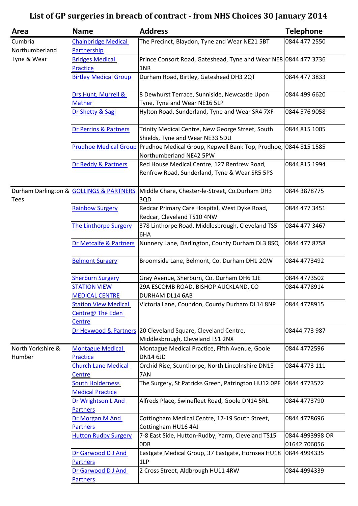| Area                        | <b>Name</b>                                | <b>Address</b>                                                                               | <b>Telephone</b>                |
|-----------------------------|--------------------------------------------|----------------------------------------------------------------------------------------------|---------------------------------|
| Cumbria                     | <b>Chainbridge Medical</b>                 | The Precinct, Blaydon, Tyne and Wear NE21 5BT                                                | 0844 477 2550                   |
| Northumberland              | Partnership                                |                                                                                              |                                 |
| Tyne & Wear                 | <b>Bridges Medical</b>                     | Prince Consort Road, Gateshead, Tyne and Wear NE8 0844 477 3736                              |                                 |
|                             | <b>Practice</b>                            | 1NR                                                                                          |                                 |
|                             | <b>Birtley Medical Group</b>               | Durham Road, Birtley, Gateshead DH3 2QT                                                      | 0844 477 3833                   |
|                             | Drs Hunt, Murrell &                        | 8 Dewhurst Terrace, Sunniside, Newcastle Upon                                                | 0844 499 6620                   |
|                             | <b>Mather</b>                              | Tyne, Tyne and Wear NE16 5LP                                                                 |                                 |
|                             | Dr Shetty & Sagi                           | Hylton Road, Sunderland, Tyne and Wear SR4 7XF                                               | 0844 576 9058                   |
|                             | Dr Perrins & Partners                      | Trinity Medical Centre, New George Street, South<br>Shields, Tyne and Wear NE33 5DU          | 0844 815 1005                   |
|                             | <b>Prudhoe Medical Group</b>               | Prudhoe Medical Group, Kepwell Bank Top, Prudhoe, 0844 815 1585                              |                                 |
|                             |                                            | Northumberland NE42 5PW                                                                      |                                 |
|                             | Dr Reddy & Partners                        | Red House Medical Centre, 127 Renfrew Road,<br>Renfrew Road, Sunderland, Tyne & Wear SR5 5PS | 0844 815 1994                   |
| <b>Tees</b>                 | Durham Darlington & GOLLINGS & PARTNERS    | Middle Chare, Chester-le-Street, Co.Durham DH3<br>3QD                                        | 0844 3878775                    |
|                             | <b>Rainbow Surgery</b>                     | Redcar Primary Care Hospital, West Dyke Road,<br>Redcar, Cleveland TS10 4NW                  | 0844 477 3451                   |
|                             | The Linthorpe Surgery                      | 378 Linthorpe Road, Middlesbrough, Cleveland TS5<br>6HA                                      | 0844 477 3467                   |
|                             | Dr Metcalfe & Partners                     | Nunnery Lane, Darlington, County Durham DL3 8SQ                                              | 0844 477 8758                   |
|                             | <b>Belmont Surgery</b>                     | Broomside Lane, Belmont, Co. Durham DH1 2QW                                                  | 0844 4773492                    |
|                             | <b>Sherburn Surgery</b>                    | Gray Avenue, Sherburn, Co. Durham DH6 1JE                                                    | 0844 4773502                    |
|                             | <b>STATION VIEW</b>                        | 29A ESCOMB ROAD, BISHOP AUCKLAND, CO                                                         | 0844 4778914                    |
|                             | <b>MEDICAL CENTRE</b>                      | DURHAM DL14 6AB                                                                              |                                 |
|                             | <b>Station View Medical</b>                | Victoria Lane, Coundon, County Durham DL14 8NP                                               | 0844 4778915                    |
|                             | Centre@ The Eden                           |                                                                                              |                                 |
|                             | <b>Centre</b>                              |                                                                                              |                                 |
|                             | Dr Heywood & Partners                      | 20 Cleveland Square, Cleveland Centre,                                                       | 08444 773 987                   |
|                             |                                            | Middlesbrough, Cleveland TS1 2NX                                                             |                                 |
| North Yorkshire &<br>Humber | <b>Montague Medical</b><br><b>Practice</b> | Montague Medical Practice, Fifth Avenue, Goole<br><b>DN14 6JD</b>                            | 0844 4772596                    |
|                             | <b>Church Lane Medical</b>                 | Orchid Rise, Scunthorpe, North Lincolnshire DN15                                             | 0844 4773 111                   |
|                             | <b>Centre</b>                              | 7AN                                                                                          |                                 |
|                             | <b>South Holderness</b>                    | The Surgery, St Patricks Green, Patrington HU12 OPF                                          | 0844 4773572                    |
|                             | <b>Medical Practice</b>                    |                                                                                              |                                 |
|                             | Dr Wrightson L And                         | Alfreds Place, Swinefleet Road, Goole DN14 5RL                                               | 0844 4773790                    |
|                             | <b>Partners</b>                            |                                                                                              |                                 |
|                             | Dr Morgan M And                            | Cottingham Medical Centre, 17-19 South Street,                                               | 0844 4778696                    |
|                             | <b>Partners</b>                            | Cottingham HU16 4AJ                                                                          |                                 |
|                             | <b>Hutton Rudby Surgery</b>                | 7-8 East Side, Hutton-Rudby, Yarm, Cleveland TS15<br>0DB                                     | 0844 4993998 OR<br>01642 706056 |
|                             | Dr Garwood D J And                         | Eastgate Medical Group, 37 Eastgate, Hornsea HU18                                            | 0844 4994335                    |
|                             | <b>Partners</b>                            | 1LP                                                                                          |                                 |
|                             | Dr Garwood D J And                         | 2 Cross Street, Aldbrough HU11 4RW                                                           | 0844 4994339                    |
|                             | <b>Partners</b>                            |                                                                                              |                                 |
|                             |                                            |                                                                                              |                                 |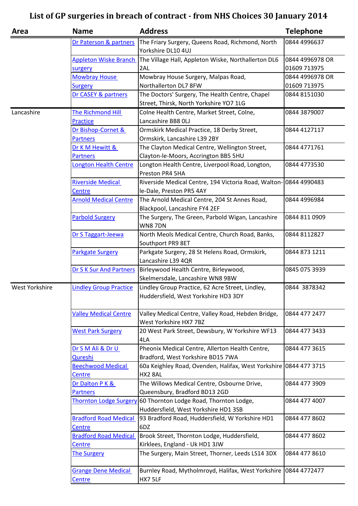| Area           | <b>Name</b>                          | <b>Address</b>                                                                           | <b>Telephone</b> |
|----------------|--------------------------------------|------------------------------------------------------------------------------------------|------------------|
|                | Dr Paterson & partners               | The Friary Surgery, Queens Road, Richmond, North<br>Yorkshire DL10 4UJ                   | 0844 4996637     |
|                | <b>Appleton Wiske Branch</b>         | The Village Hall, Appleton Wiske, Northallerton DL6                                      | 0844 4996978 OR  |
|                | surgery                              | 2AL                                                                                      | 01609 713975     |
|                | <b>Mowbray House</b>                 | Mowbray House Surgery, Malpas Road,                                                      | 0844 4996978 OR  |
|                | <b>Surgery</b>                       | Northallerton DL7 8FW                                                                    | 01609 713975     |
|                | Dr CASEY & partners                  | The Doctors' Surgery, The Health Centre, Chapel                                          | 0844 8151030     |
|                |                                      | Street, Thirsk, North Yorkshire YO7 1LG                                                  |                  |
| Lancashire     | The Richmond Hill                    | Colne Health Centre, Market Street, Colne,                                               | 0844 3879007     |
|                | Practice                             | Lancashire BB8 OLJ                                                                       |                  |
|                | Dr Bishop-Cornet &                   | Ormskirk Medical Practice, 18 Derby Street,                                              | 0844 4127117     |
|                | <b>Partners</b>                      | Ormskirk, Lancashire L39 2BY                                                             |                  |
|                | Dr K M Hewitt &                      | The Clayton Medical Centre, Wellington Street,                                           | 0844 4771761     |
|                | <b>Partners</b>                      | Clayton-le-Moors, Accrington BB5 5HU                                                     |                  |
|                | Longton Health Centre                | Longton Health Centre, Liverpool Road, Longton,<br>Preston PR4 5HA                       | 0844 4773530     |
|                | <b>Riverside Medical</b>             | Riverside Medical Centre, 194 Victoria Road, Walton-0844 4990483                         |                  |
|                | <b>Centre</b>                        | le-Dale, Preston PR5 4AY                                                                 |                  |
|                | <b>Arnold Medical Centre</b>         | The Arnold Medical Centre, 204 St Annes Road,                                            | 0844 4996984     |
|                |                                      | Blackpool, Lancashire FY4 2EF                                                            |                  |
|                | <b>Parbold Surgery</b>               | The Surgery, The Green, Parbold Wigan, Lancashire                                        | 0844 811 0909    |
|                |                                      | <b>WN87DN</b>                                                                            |                  |
|                | Dr S Taggart-Jeewa                   | North Meols Medical Centre, Church Road, Banks,                                          | 0844 8112827     |
|                |                                      | Southport PR9 8ET                                                                        |                  |
|                | Parkgate Surgery                     | Parkgate Surgery, 28 St Helens Road, Ormskirk,<br>Lancashire L39 4QR                     | 0844 873 1211    |
|                | Dr S K Sur And Partners              | Birleywood Health Centre, Birleywood,                                                    | 0845 075 3939    |
|                |                                      | Skelmersdale, Lancashire WN8 9BW                                                         |                  |
| West Yorkshire | <b>Lindley Group Practice</b>        | Lindley Group Practice, 62 Acre Street, Lindley,<br>Huddersfield, West Yorkshire HD3 3DY | 0844 3878342     |
|                | <b>Valley Medical Centre</b>         | Valley Medical Centre, Valley Road, Hebden Bridge,<br>West Yorkshire HX7 7BZ             | 0844 477 2477    |
|                | <b>West Park Surgery</b>             | 20 West Park Street, Dewsbury, W Yorkshire WF13<br>4LA                                   | 0844 477 3433    |
|                | Dr S M Ali & Dr U                    | Pheonix Medical Centre, Allerton Health Centre,                                          | 0844 477 3615    |
|                | Qureshi                              | Bradford, West Yorkshire BD15 7WA                                                        |                  |
|                | <b>Beechwood Medical</b>             | 60a Keighley Road, Ovenden, Halifax, West Yorkshire 0844 477 3715                        |                  |
|                | <b>Centre</b>                        | HX2 8AL                                                                                  |                  |
|                | Dr Dalton P K &                      | The Willows Medical Centre, Osbourne Drive,                                              | 0844 477 3909    |
|                | <b>Partners</b>                      | Queensbury, Bradford BD13 2GD                                                            |                  |
|                |                                      | Thornton Lodge Surgery 60 Thornton Lodge Road, Thornton Lodge,                           | 0844 477 4007    |
|                |                                      | Huddersfield, West Yorkshire HD1 3SB                                                     |                  |
|                | <b>Bradford Road Medical</b>         | 93 Bradford Road, Huddersfield, W Yorkshire HD1                                          | 0844 477 8602    |
|                | <b>Centre</b>                        | 6DZ                                                                                      |                  |
|                | <b>Bradford Road Medical</b>         | Brook Street, Thornton Lodge, Huddersfield,                                              | 0844 477 8602    |
|                | Centre                               | Kirklees, England - Uk HD1 3JW                                                           |                  |
|                | <b>The Surgery</b>                   | The Surgery, Main Street, Thorner, Leeds LS14 3DX                                        | 0844 477 8610    |
|                | <b>Grange Dene Medical</b><br>Centre | Burnley Road, Mytholmroyd, Halifax, West Yorkshire<br>HX7 5LF                            | 0844 4772477     |
|                |                                      |                                                                                          |                  |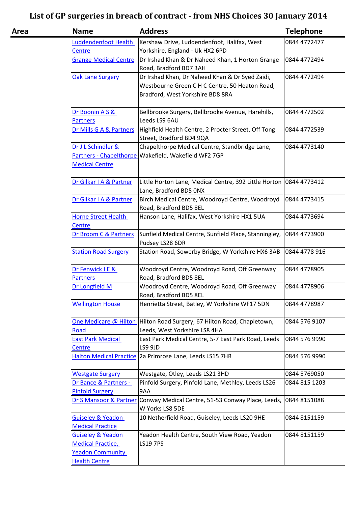| Area | <b>Name</b>                  | <b>Address</b>                                                         | <b>Telephone</b> |
|------|------------------------------|------------------------------------------------------------------------|------------------|
|      | Luddendenfoot Health         | Kershaw Drive, Luddendenfoot, Halifax, West                            | 0844 4772477     |
|      | Centre                       | Yorkshire, England - Uk HX2 6PD                                        |                  |
|      | <b>Grange Medical Centre</b> | Dr Irshad Khan & Dr Naheed Khan, 1 Horton Grange                       | 0844 4772494     |
|      |                              | Road, Bradford BD7 3AH                                                 |                  |
|      | <b>Oak Lane Surgery</b>      | Dr Irshad Khan, Dr Naheed Khan & Dr Syed Zaidi,                        | 0844 4772494     |
|      |                              | Westbourne Green C H C Centre, 50 Heaton Road,                         |                  |
|      |                              | Bradford, West Yorkshire BD8 8RA                                       |                  |
|      | Dr Boonin A S &              | Bellbrooke Surgery, Bellbrooke Avenue, Harehills,                      | 0844 4772502     |
|      | <b>Partners</b>              | Leeds LS9 6AU                                                          |                  |
|      | Dr Mills G A & Partners      | Highfield Health Centre, 2 Procter Street, Off Tong                    | 0844 4772539     |
|      |                              | Street, Bradford BD4 9QA                                               |                  |
|      | Dr J L Schindler &           | Chapelthorpe Medical Centre, Standbridge Lane,                         | 0844 4773140     |
|      |                              | Partners - Chapelthorpe Wakefield, Wakefield WF2 7GP                   |                  |
|      | <b>Medical Centre</b>        |                                                                        |                  |
|      | Dr Gilkar I A & Partner      | Little Horton Lane, Medical Centre, 392 Little Horton                  | 0844 4773412     |
|      |                              | Lane, Bradford BD5 ONX                                                 |                  |
|      | Dr Gilkar I A & Partner      | Birch Medical Centre, Woodroyd Centre, Woodroyd                        | 0844 4773415     |
|      |                              | Road, Bradford BD5 8EL                                                 |                  |
|      | <b>Horne Street Health</b>   | Hanson Lane, Halifax, West Yorkshire HX1 5UA                           | 0844 4773694     |
|      | <b>Centre</b>                |                                                                        |                  |
|      | Dr Broom C & Partners        | Sunfield Medical Centre, Sunfield Place, Stanningley,                  | 0844 4773900     |
|      |                              | Pudsey LS28 6DR                                                        |                  |
|      | <b>Station Road Surgery</b>  | Station Road, Sowerby Bridge, W Yorkshire HX6 3AB                      | 0844 4778 916    |
|      | Dr Fenwick I E &             | Woodroyd Centre, Woodroyd Road, Off Greenway                           | 0844 4778905     |
|      | <b>Partners</b>              | Road, Bradford BD5 8EL                                                 |                  |
|      | Dr Longfield M               | Woodroyd Centre, Woodroyd Road, Off Greenway                           | 0844 4778906     |
|      |                              | Road, Bradford BD5 8EL                                                 |                  |
|      | <b>Wellington House</b>      | Henrietta Street, Batley, W Yorkshire WF17 5DN                         | 0844 4778987     |
|      |                              |                                                                        |                  |
|      |                              | One Medicare @ Hilton Hilton Road Surgery, 67 Hilton Road, Chapletown, | 0844 576 9107    |
|      | Road                         | Leeds, West Yorkshire LS8 4HA                                          |                  |
|      | <b>East Park Medical</b>     | East Park Medical Centre, 5-7 East Park Road, Leeds                    | 0844 576 9990    |
|      | <b>Centre</b>                | LS9 9JD                                                                |                  |
|      |                              | Halton Medical Practice 2a Primrose Lane, Leeds LS15 7HR               | 0844 576 9990    |
|      | <b>Westgate Surgery</b>      | Westgate, Otley, Leeds LS21 3HD                                        | 0844 5769050     |
|      | Dr Bance & Partners -        | Pinfold Surgery, Pinfold Lane, Methley, Leeds LS26                     | 0844 815 1203    |
|      | <b>Pinfold Surgery</b>       | 9AA                                                                    |                  |
|      | Dr S Mansoor & Partner       | Conway Medical Centre, 51-53 Conway Place, Leeds,<br>W Yorks LS8 5DE   | 0844 8151088     |
|      | Guiseley & Yeadon            | 10 Netherfield Road, Guiseley, Leeds LS20 9HE                          | 0844 8151159     |
|      | <b>Medical Practice</b>      |                                                                        |                  |
|      | Guiseley & Yeadon            | Yeadon Health Centre, South View Road, Yeadon                          | 0844 8151159     |
|      | <b>Medical Practice,</b>     | <b>LS19 7PS</b>                                                        |                  |
|      | <b>Yeadon Community</b>      |                                                                        |                  |
|      | <b>Health Centre</b>         |                                                                        |                  |
|      |                              |                                                                        |                  |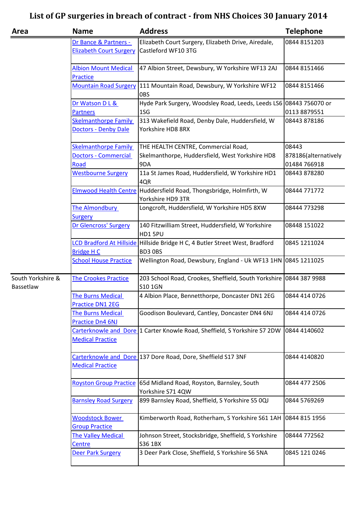| Area                           | <b>Name</b>                         | <b>Address</b>                                                                       | <b>Telephone</b>     |
|--------------------------------|-------------------------------------|--------------------------------------------------------------------------------------|----------------------|
|                                | Dr Bance & Partners -               | Elizabeth Court Surgery, Elizabeth Drive, Airedale,                                  | 0844 8151203         |
|                                | <b>Elizabeth Court Surgery</b>      | Castleford WF10 3TG                                                                  |                      |
|                                |                                     |                                                                                      |                      |
|                                | <b>Albion Mount Medical</b>         | 47 Albion Street, Dewsbury, W Yorkshire WF13 2AJ                                     | 0844 8151466         |
|                                | <b>Practice</b>                     |                                                                                      |                      |
|                                | <b>Mountain Road Surgery</b>        | 111 Mountain Road, Dewsbury, W Yorkshire WF12<br>0BS                                 | 0844 8151466         |
|                                | Dr Watson D L &                     | Hyde Park Surgery, Woodsley Road, Leeds, Leeds LS6 08443 756070 or                   |                      |
|                                | <b>Partners</b>                     | 1SG                                                                                  | 0113 8879551         |
|                                | <b>Skelmanthorpe Family</b>         | 313 Wakefield Road, Denby Dale, Huddersfield, W                                      | 08443 878186         |
|                                | <b>Doctors - Denby Dale</b>         | Yorkshire HD8 8RX                                                                    |                      |
|                                | <b>Skelmanthorpe Family</b>         | THE HEALTH CENTRE, Commercial Road,                                                  | 08443                |
|                                | <b>Doctors - Commercial</b>         | Skelmanthorpe, Huddersfield, West Yorkshire HD8                                      | 878186(alternatively |
|                                | Road                                | 9DA                                                                                  | 01484 766918         |
|                                | <b>Westbourne Surgery</b>           | 11a St James Road, Huddersfield, W Yorkshire HD1<br>4QR                              | 08443 878280         |
|                                | Elmwood Health Centre               | Huddersfield Road, Thongsbridge, Holmfirth, W<br>Yorkshire HD9 3TR                   | 08444 771772         |
|                                | The Almondbury                      | Longcroft, Huddersfield, W Yorkshire HD5 8XW                                         | 08444 773298         |
|                                | <b>Surgery</b>                      |                                                                                      |                      |
|                                | Dr Glencross' Surgery               | 140 Fitzwilliam Street, Huddersfield, W Yorkshire                                    | 08448 151022         |
|                                |                                     | HD1 5PU                                                                              |                      |
|                                | <b>LCD Bradford At Hillside</b>     | Hillside Bridge H C, 4 Butler Street West, Bradford                                  | 0845 1211024         |
|                                | <b>Bridge H C</b>                   | BD3 0BS                                                                              |                      |
|                                | <b>School House Practice</b>        | Wellington Road, Dewsbury, England - Uk WF13 1HN 0845 1211025                        |                      |
| South Yorkshire &<br>Bassetlaw | <b>The Crookes Practice</b>         | 203 School Road, Crookes, Sheffield, South Yorkshire 0844 387 9988<br><b>S10 1GN</b> |                      |
|                                | <b>The Burns Medical</b>            | 4 Albion Place, Bennetthorpe, Doncaster DN1 2EG                                      | 0844 414 0726        |
|                                | <b>Practice DN1 2EG</b>             |                                                                                      |                      |
|                                | <b>The Burns Medical</b>            | Goodison Boulevard, Cantley, Doncaster DN4 6NJ                                       | 0844 414 0726        |
|                                | <b>Practice Dn4 6NJ</b>             |                                                                                      |                      |
|                                |                                     | Carterknowle and Dore 1 Carter Knowle Road, Sheffield, S Yorkshire S7 2DW            | 0844 4140602         |
|                                | <b>Medical Practice</b>             |                                                                                      |                      |
|                                |                                     | Carterknowle and Dore 137 Dore Road, Dore, Sheffield S17 3NF                         | 0844 4140820         |
|                                | <b>Medical Practice</b>             |                                                                                      |                      |
|                                | <b>Royston Group Practice</b>       | 65d Midland Road, Royston, Barnsley, South                                           | 0844 477 2506        |
|                                |                                     | Yorkshire S71 4QW                                                                    |                      |
|                                | <b>Barnsley Road Surgery</b>        | 899 Barnsley Road, Sheffield, S Yorkshire S5 0QJ                                     | 0844 5769269         |
|                                | <b>Woodstock Bower</b>              | Kimberworth Road, Rotherham, S Yorkshire S61 1AH                                     | 0844 815 1956        |
|                                | <b>Group Practice</b>               |                                                                                      |                      |
|                                | The Valley Medical<br><b>Centre</b> | Johnson Street, Stocksbridge, Sheffield, S Yorkshire<br>S36 1BX                      | 08444 772562         |
|                                | Deer Park Surgery                   | 3 Deer Park Close, Sheffield, S Yorkshire S6 5NA                                     | 0845 121 0246        |
|                                |                                     |                                                                                      |                      |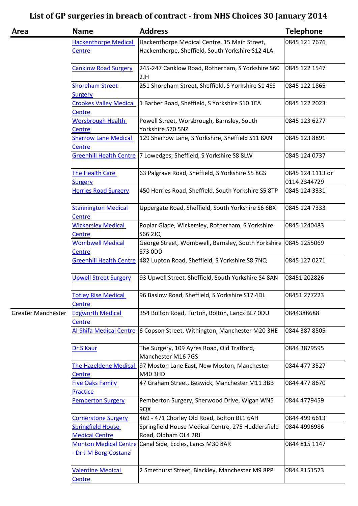| Area                      | <b>Name</b>                                            | <b>Address</b>                                                                                   | <b>Telephone</b>                 |
|---------------------------|--------------------------------------------------------|--------------------------------------------------------------------------------------------------|----------------------------------|
|                           | <b>Hackenthorpe Medical</b><br>Centre                  | Hackenthorpe Medical Centre, 15 Main Street,<br>Hackenthorpe, Sheffield, South Yorkshire S12 4LA | 0845 121 7676                    |
|                           | <b>Canklow Road Surgery</b>                            | 245-247 Canklow Road, Rotherham, S Yorkshire S60<br>2JH                                          | 0845 122 1547                    |
|                           | <b>Shoreham Street</b><br><b>Surgery</b>               | 251 Shoreham Street, Sheffield, S Yorkshire S1 4SS                                               | 0845 122 1865                    |
|                           | <b>Crookes Valley Medical</b><br>Centre                | 1 Barber Road, Sheffield, S Yorkshire S10 1EA                                                    | 0845 122 2023                    |
|                           | <b>Worsbrough Health</b><br><b>Centre</b>              | Powell Street, Worsbrough, Barnsley, South<br>Yorkshire S70 5NZ                                  | 0845 123 6277                    |
|                           | <b>Sharrow Lane Medical</b><br><b>Centre</b>           | 129 Sharrow Lane, S Yorkshire, Sheffield S11 8AN                                                 | 0845 123 8891                    |
|                           | <b>Greenhill Health Centre</b>                         | 7 Lowedges, Sheffield, S Yorkshire S8 8LW                                                        | 0845 124 0737                    |
|                           | The Health Care<br><b>Surgery</b>                      | 63 Palgrave Road, Sheffield, S Yorkshire S5 8GS                                                  | 0845 124 1113 or<br>0114 2344729 |
|                           | <b>Herries Road Surgery</b>                            | 450 Herries Road, Sheffield, South Yorkshire S5 8TP                                              | 0845 124 3331                    |
|                           | <b>Stannington Medical</b><br>Centre                   | Uppergate Road, Sheffield, South Yorkshire S6 6BX                                                | 0845 124 7333                    |
|                           | <b>Wickersley Medical</b><br>Centre                    | Poplar Glade, Wickersley, Rotherham, S Yorkshire<br>S66 2JQ                                      | 0845 1240483                     |
|                           | <b>Wombwell Medical</b><br><b>Centre</b>               | George Street, Wombwell, Barnsley, South Yorkshire<br>S73 0DD                                    | 0845 1255069                     |
|                           | <b>Greenhill Health Centre</b>                         | 482 Lupton Road, Sheffield, S Yorkshire S8 7NQ                                                   | 0845 127 0271                    |
|                           | <b>Upwell Street Surgery</b>                           | 93 Upwell Street, Sheffield, South Yorkshire S4 8AN                                              | 08451 202826                     |
|                           | <b>Totley Rise Medical</b><br>Centre                   | 96 Baslow Road, Sheffield, S Yorkshire S17 4DL                                                   | 08451 277223                     |
| <b>Greater Manchester</b> | <b>Edgworth Medical</b><br>Centre                      | 354 Bolton Road, Turton, Bolton, Lancs BL7 ODU                                                   | 0844388688                       |
|                           | <b>Al-Shifa Medical Centre</b>                         | 6 Copson Street, Withington, Manchester M20 3HE                                                  | 0844 387 8505                    |
|                           | Dr S Kaur                                              | The Surgery, 109 Ayres Road, Old Trafford,<br>Manchester M16 7GS                                 | 0844 3879595                     |
|                           | <b>The Hazeldene Medical</b><br><b>Centre</b>          | 97 Moston Lane East, New Moston, Manchester<br>M40 3HD                                           | 0844 477 3527                    |
|                           | <b>Five Oaks Family</b><br><b>Practice</b>             | 47 Graham Street, Beswick, Manchester M11 3BB                                                    | 0844 477 8670                    |
|                           | <b>Pemberton Surgery</b>                               | Pemberton Surgery, Sherwood Drive, Wigan WN5<br>9QX                                              | 0844 4779459                     |
|                           | <b>Cornerstone Surgery</b>                             | 469 - 471 Chorley Old Road, Bolton BL1 6AH                                                       | 0844 499 6613                    |
|                           | <b>Springfield House</b><br><b>Medical Centre</b>      | Springfield House Medical Centre, 275 Huddersfield<br>Road, Oldham OL4 2RJ                       | 0844 4996986                     |
|                           | <b>Monton Medical Centre</b><br>- Dr J M Borg-Costanzi | Canal Side, Eccles, Lancs M30 8AR                                                                | 0844 815 1147                    |
|                           | <b>Valentine Medical</b><br>Centre                     | 2 Smethurst Street, Blackley, Manchester M9 8PP                                                  | 0844 8151573                     |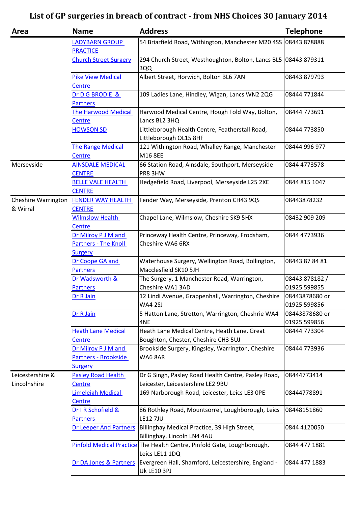| Area                       | <b>Name</b>                     | <b>Address</b>                                                       | <b>Telephone</b>               |
|----------------------------|---------------------------------|----------------------------------------------------------------------|--------------------------------|
|                            | LADYBARN GROUP                  | 54 Briarfield Road, Withington, Manchester M20 4SS                   | 08443 878888                   |
|                            | <b>PRACTICE</b>                 |                                                                      |                                |
|                            | <b>Church Street Surgery</b>    | 294 Church Street, Westhoughton, Bolton, Lancs BL5 08443 879311      |                                |
|                            |                                 | 3QQ                                                                  |                                |
|                            | <b>Pike View Medical</b>        | Albert Street, Horwich, Bolton BL6 7AN                               | 08443 879793                   |
|                            | <b>Centre</b>                   |                                                                      |                                |
|                            | Dr D G BRODIE &                 | 109 Ladies Lane, Hindley, Wigan, Lancs WN2 2QG                       | 08444 771844                   |
|                            | <b>Partners</b>                 |                                                                      |                                |
|                            | The Harwood Medical             | Harwood Medical Centre, Hough Fold Way, Bolton,                      | 08444 773691                   |
|                            | <b>Centre</b>                   | Lancs BL2 3HQ                                                        |                                |
|                            | <b>HOWSON SD</b>                | Littleborough Health Centre, Featherstall Road,                      | 08444 773850                   |
|                            |                                 | Littleborough OL15 8HF                                               |                                |
|                            | <b>The Range Medical</b>        | 121 Withington Road, Whalley Range, Manchester                       | 08444 996 977                  |
|                            | <b>Centre</b>                   | M16 8EE                                                              |                                |
| Merseyside                 | <b>AINSDALE MEDICAL</b>         | 66 Station Road, Ainsdale, Southport, Merseyside                     | 0844 4773578                   |
|                            | <b>CENTRE</b>                   | PR8 3HW                                                              |                                |
|                            | <b>BELLE VALE HEALTH</b>        | Hedgefield Road, Liverpool, Merseyside L25 2XE                       | 0844 815 1047                  |
|                            | <b>CENTRE</b>                   |                                                                      |                                |
| <b>Cheshire Warrington</b> | FENDER WAY HEALTH               | Fender Way, Merseyside, Prenton CH43 9QS                             | 08443878232                    |
| & Wirral                   | <b>CENTRE</b>                   |                                                                      |                                |
|                            | <b>Wilmslow Health</b>          | Chapel Lane, Wilmslow, Cheshire SK9 5HX                              | 08432 909 209                  |
|                            | Centre                          |                                                                      |                                |
|                            | Dr Milroy P J M and             | Princeway Health Centre, Princeway, Frodsham,                        | 0844 4773936                   |
|                            | Partners - The Knoll            | Cheshire WA6 6RX                                                     |                                |
|                            | <b>Surgery</b>                  |                                                                      |                                |
|                            | Dr Coope GA and                 | Waterhouse Surgery, Wellington Road, Bollington,                     | 08443 87 84 81                 |
|                            | <b>Partners</b>                 | Macclesfield SK10 5JH                                                |                                |
|                            | Dr Wadsworth &                  | The Surgery, 1 Manchester Road, Warrington,                          | 08443 878182 /                 |
|                            | <b>Partners</b>                 | Cheshire WA1 3AD                                                     | 01925 599855                   |
|                            | Dr R Jain                       | 12 Lindi Avenue, Grappenhall, Warrington, Cheshire<br><b>WA4 2SJ</b> | 08443878680 or<br>01925 599856 |
|                            | Dr R Jain                       | 5 Hatton Lane, Stretton, Warrington, Cheshrie WA4                    | 08443878680 or                 |
|                            |                                 | 4NE                                                                  | 01925 599856                   |
|                            | <b>Heath Lane Medical</b>       | Heath Lane Medical Centre, Heath Lane, Great                         | 08444 773304                   |
|                            | Centre                          | Boughton, Chester, Cheshire CH3 5UJ                                  |                                |
|                            | Dr Milroy P J M and             | Brookside Surgery, Kingsley, Warrington, Cheshire                    | 08444 773936                   |
|                            | Partners - Brookside            | WA68AR                                                               |                                |
|                            | <b>Surgery</b>                  |                                                                      |                                |
| Leicestershire &           | <b>Pasley Road Health</b>       | Dr G Singh, Pasley Road Health Centre, Pasley Road,                  | 08444773414                    |
| Lincolnshire               | Centre                          | Leicester, Leicestershire LE2 9BU                                    |                                |
|                            | <b>Limeleigh Medical</b>        | 169 Narborough Road, Leicester, Leics LE3 OPE                        | 08444778891                    |
|                            | Centre                          |                                                                      |                                |
|                            | Dr I R Schofield &              | 86 Rothley Road, Mountsorrel, Loughborough, Leics                    | 08448151860                    |
|                            | <b>Partners</b>                 | <b>LE12 7JU</b>                                                      |                                |
|                            | <b>Dr Leeper And Partners</b>   | Billinghay Medical Practice, 39 High Street,                         | 0844 4120050                   |
|                            |                                 | Billinghay, Lincoln LN4 4AU                                          |                                |
|                            | <b>Pinfold Medical Practice</b> | The Health Centre, Pinfold Gate, Loughborough,                       | 0844 477 1881                  |
|                            |                                 | Leics LE11 1DQ                                                       |                                |
|                            | Dr DA Jones & Partners          | Evergreen Hall, Sharnford, Leicestershire, England -                 | 0844 477 1883                  |
|                            |                                 | <b>Uk LE10 3PJ</b>                                                   |                                |
|                            |                                 |                                                                      |                                |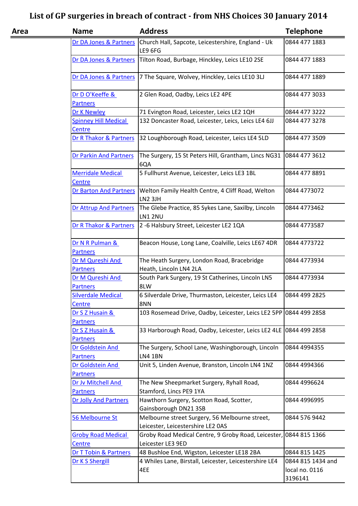| Area | <b>Name</b>                                | <b>Address</b>                                                                      | <b>Telephone</b>          |
|------|--------------------------------------------|-------------------------------------------------------------------------------------|---------------------------|
|      | Dr DA Jones & Partners                     | Church Hall, Sapcote, Leicestershire, England - Uk<br>LE9 6FG                       | 0844 477 1883             |
|      | Dr DA Jones & Partners                     | Tilton Road, Burbage, Hinckley, Leics LE10 2SE                                      | 0844 477 1883             |
|      | Dr DA Jones & Partners                     | 7 The Square, Wolvey, Hinckley, Leics LE10 3LJ                                      | 0844 477 1889             |
|      | Dr D O'Keeffe &<br><b>Partners</b>         | 2 Glen Road, Oadby, Leics LE2 4PE                                                   | 0844 477 3033             |
|      | Dr K Newley                                | 71 Evington Road, Leicester, Leics LE2 1QH                                          | 0844 477 3222             |
|      | <b>Spinney Hill Medical</b>                | 132 Doncaster Road, Leicester, Leics, Leics LE4 6JJ                                 | 0844 477 3278             |
|      | <b>Centre</b>                              |                                                                                     |                           |
|      | Dr R Thakor & Partners                     | 32 Loughborough Road, Leicester, Leics LE4 5LD                                      | 0844 477 3509             |
|      | <b>Dr Parkin And Partners</b>              | The Surgery, 15 St Peters Hill, Grantham, Lincs NG31<br>6QA                         | 0844 477 3612             |
|      | <b>Merridale Medical</b><br>Centre         | 5 Fullhurst Avenue, Leicester, Leics LE3 1BL                                        | 0844 477 8891             |
|      | <b>Dr Barton And Partners</b>              | Welton Family Health Centre, 4 Cliff Road, Welton<br>LN2 3JH                        | 0844 4773072              |
|      | Dr Attrup And Partners                     | The Glebe Practice, 85 Sykes Lane, Saxilby, Lincoln<br><b>LN1 2NU</b>               | 0844 4773462              |
|      | Dr R Thakor & Partners                     | 2 -6 Halsbury Street, Leicester LE2 1QA                                             | 0844 4773587              |
|      | Dr N R Pulman &<br><b>Partners</b>         | Beacon House, Long Lane, Coalville, Leics LE67 4DR                                  | 0844 4773722              |
|      | Dr M Qureshi And<br><b>Partners</b>        | The Heath Surgery, London Road, Bracebridge<br>Heath, Lincoln LN4 2LA               | 0844 4773934              |
|      | Dr M Qureshi And<br>Partners               | South Park Surgery, 19 St Catherines, Lincoln LN5<br>8LW                            | 0844 4773934              |
|      | <b>Silverdale Medical</b><br>Centre        | 6 Silverdale Drive, Thurmaston, Leicester, Leics LE4<br>8NN                         | 0844 499 2825             |
|      | Dr S Z Husain &<br><b>Partners</b>         | 103 Rosemead Drive, Oadby, Leicester, Leics LE2 5PP 0844 499 2858                   |                           |
|      | Dr S Z Husain &<br><b>Partners</b>         | 33 Harborough Road, Oadby, Leicester, Leics LE2 4LE                                 | 0844 499 2858             |
|      | Dr Goldstein And<br><b>Partners</b>        | The Surgery, School Lane, Washingborough, Lincoln<br><b>LN4 1BN</b>                 | 0844 4994355              |
|      | Dr Goldstein And<br><b>Partners</b>        | Unit 5, Linden Avenue, Branston, Lincoln LN4 1NZ                                    | 0844 4994366              |
|      | Dr Jv Mitchell And<br><b>Partners</b>      | The New Sheepmarket Surgery, Ryhall Road,<br>Stamford, Lincs PE9 1YA                | 0844 4996624              |
|      | <b>Dr Jolly And Partners</b>               | Hawthorn Surgery, Scotton Road, Scotter,<br>Gainsborough DN21 3SB                   | 0844 4996995              |
|      | 56 Melbourne St                            | Melbourne street Surgery, 56 Melbourne street,<br>Leicester, Leicestershire LE2 0AS | 0844 576 9442             |
|      | <b>Groby Road Medical</b><br><b>Centre</b> | Groby Road Medical Centre, 9 Groby Road, Leicester,<br>Leicester LE3 9ED            | 0844 815 1366             |
|      | Dr T Tobin & Partners                      | 48 Bushloe End, Wigston, Leicester LE18 2BA                                         | 0844 815 1425             |
|      | Dr K S Shergill                            | 4 Whiles Lane, Birstall, Leicester, Leicestershire LE4                              | 0844 815 1434 and         |
|      |                                            | 4EE                                                                                 | local no. 0116<br>3196141 |
|      |                                            |                                                                                     |                           |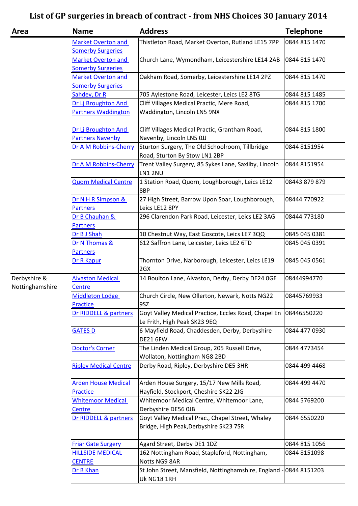| Area            | <b>Name</b>                  | <b>Address</b>                                                                             | <b>Telephone</b> |
|-----------------|------------------------------|--------------------------------------------------------------------------------------------|------------------|
|                 | Market Overton and           | Thistleton Road, Market Overton, Rutland LE15 7PP                                          | 0844 815 1470    |
|                 | <b>Somerby Surgeries</b>     |                                                                                            |                  |
|                 | <b>Market Overton and</b>    | Church Lane, Wymondham, Leicestershire LE14 2AB                                            | 0844 815 1470    |
|                 | <b>Somerby Surgeries</b>     |                                                                                            |                  |
|                 | <b>Market Overton and</b>    | Oakham Road, Somerby, Leicestershire LE14 2PZ                                              | 0844 815 1470    |
|                 | <b>Somerby Surgeries</b>     |                                                                                            |                  |
|                 | Sahdev, Dr R                 | 705 Aylestone Road, Leicester, Leics LE2 8TG                                               | 0844 815 1485    |
|                 | Dr Lj Broughton And          | Cliff Villages Medical Practic, Mere Road,                                                 | 0844 815 1700    |
|                 | <b>Partners Waddington</b>   | Waddington, Lincoln LN5 9NX                                                                |                  |
|                 | Dr Lj Broughton And          | Cliff Villages Medical Practic, Grantham Road,                                             | 0844 815 1800    |
|                 | <b>Partners Navenby</b>      | Navenby, Lincoln LN5 OJJ                                                                   |                  |
|                 | Dr A M Robbins-Cherry        | Sturton Surgery, The Old Schoolroom, Tillbridge                                            | 0844 8151954     |
|                 |                              | Road, Sturton By Stow LN1 2BP                                                              |                  |
|                 | Dr A M Robbins-Cherry        | Trent Valley Surgery, 85 Sykes Lane, Saxilby, Lincoln<br>LN1 2NU                           | 0844 8151954     |
|                 | <b>Quorn Medical Centre</b>  | 1 Station Road, Quorn, Loughborough, Leics LE12<br>8BP                                     | 08443 879 879    |
|                 | Dr N H R Simpson &           | 27 High Street, Barrow Upon Soar, Loughborough,                                            | 08444 770922     |
|                 | <b>Partners</b>              | Leics LE12 8PY                                                                             |                  |
|                 | Dr B Chauhan &               | 296 Clarendon Park Road, Leicester, Leics LE2 3AG                                          | 08444 773180     |
|                 | <b>Partners</b>              |                                                                                            |                  |
|                 | Dr B J Shah                  | 10 Chestnut Way, East Goscote, Leics LE7 3QQ                                               | 0845 045 0381    |
|                 | Dr N Thomas &                | 612 Saffron Lane, Leicester, Leics LE2 6TD                                                 | 0845 045 0391    |
|                 | <b>Partners</b>              |                                                                                            |                  |
|                 | Dr R Kapur                   | Thornton Drive, Narborough, Leicester, Leics LE19<br>2GX                                   | 0845 045 0561    |
| Derbyshire &    | <b>Alvaston Medical</b>      | 14 Boulton Lane, Alvaston, Derby, Derby DE24 0GE                                           | 08444994770      |
| Nottinghamshire | <b>Centre</b>                |                                                                                            |                  |
|                 | Middleton Lodge              | Church Circle, New Ollerton, Newark, Notts NG22                                            | 08445769933      |
|                 | Practice                     | 9SZ                                                                                        |                  |
|                 | Dr RIDDELL & partners        | Goyt Valley Medical Practice, Eccles Road, Chapel En                                       | 08446550220      |
|                 |                              | Le Frith, High Peak SK23 9EQ                                                               |                  |
|                 | <b>GATES D</b>               | 6 Mayfield Road, Chaddesden, Derby, Derbyshire                                             | 0844 477 0930    |
|                 |                              | <b>DE21 6FW</b>                                                                            |                  |
|                 | <b>Doctor's Corner</b>       | The Linden Medical Group, 205 Russell Drive,                                               | 0844 4773454     |
|                 |                              | Wollaton, Nottingham NG8 2BD                                                               |                  |
|                 | <b>Ripley Medical Centre</b> | Derby Road, Ripley, Derbyshire DE5 3HR                                                     | 0844 499 4468    |
|                 | <b>Arden House Medical</b>   | Arden House Surgery, 15/17 New Mills Road,                                                 | 0844 499 4470    |
|                 | <b>Practice</b>              | Hayfield, Stockport, Cheshire SK22 2JG                                                     |                  |
|                 | <b>Whitemoor Medical</b>     | Whitemoor Medical Centre, Whitemoor Lane,                                                  | 0844 5769200     |
|                 | Centre                       | Derbyshire DE56 OJB                                                                        |                  |
|                 | Dr RIDDELL & partners        | Goyt Valley Medical Prac., Chapel Street, Whaley<br>Bridge, High Peak, Derbyshire SK23 7SR | 0844 6550220     |
|                 | <b>Friar Gate Surgery</b>    | Agard Street, Derby DE1 1DZ                                                                | 0844 815 1056    |
|                 | <b>HILLSIDE MEDICAL</b>      | 162 Nottingham Road, Stapleford, Nottingham,                                               | 0844 8151098     |
|                 | <b>CENTRE</b>                | Notts NG9 8AR                                                                              |                  |
|                 | Dr B Khan                    | St John Street, Mansfield, Nottinghamshire, England - 0844 8151203                         |                  |
|                 |                              | Uk NG18 1RH                                                                                |                  |
|                 |                              |                                                                                            |                  |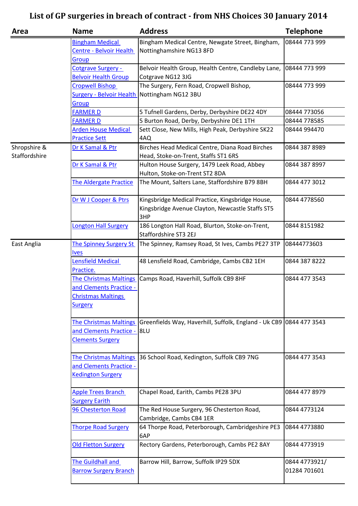| Area                          | <b>Name</b>                                                                                             | <b>Address</b>                                                                                              | <b>Telephone</b>              |
|-------------------------------|---------------------------------------------------------------------------------------------------------|-------------------------------------------------------------------------------------------------------------|-------------------------------|
|                               | <b>Bingham Medical</b><br>Centre - Belvoir Health<br>Group                                              | Bingham Medical Centre, Newgate Street, Bingham,<br>Nottinghamshire NG13 8FD                                | 08444 773 999                 |
|                               | <b>Cotgrave Surgery -</b><br><b>Belvoir Health Group</b>                                                | Belvoir Health Group, Health Centre, Candleby Lane,<br>Cotgrave NG12 3JG                                    | 08444 773 999                 |
|                               | <b>Cropwell Bishop</b><br><b>Surgery - Belvoir Health</b><br>Group                                      | The Surgery, Fern Road, Cropwell Bishop,<br>Nottingham NG12 3BU                                             | 08444 773 999                 |
|                               | <b>FARMER D</b>                                                                                         | 5 Tufnell Gardens, Derby, Derbyshire DE22 4DY                                                               | 08444 773056                  |
|                               | <b>FARMER D</b>                                                                                         | 5 Burton Road, Derby, Derbyshire DE1 1TH                                                                    | 08444 778585                  |
|                               | <b>Arden House Medical</b><br><b>Practice Sett</b>                                                      | Sett Close, New Mills, High Peak, Derbyshire SK22<br>4AQ                                                    | 08444 994470                  |
| Shropshire &<br>Staffordshire | Dr K Samal & Ptr                                                                                        | Birches Head Medical Centre, Diana Road Birches<br>Head, Stoke-on-Trent, Staffs ST1 6RS                     | 0844 387 8989                 |
|                               | Dr K Samal & Ptr                                                                                        | Hulton House Surgery, 1479 Leek Road, Abbey<br>Hulton, Stoke-on-Trent ST2 8DA                               | 0844 387 8997                 |
|                               | The Aldergate Practice                                                                                  | The Mount, Salters Lane, Staffordshire B79 8BH                                                              | 0844 477 3012                 |
|                               | Dr W J Cooper & Ptrs                                                                                    | Kingsbridge Medical Practice, Kingsbridge House,<br>Kingsbridge Avenue Clayton, Newcastle Staffs ST5<br>3HP | 0844 4778560                  |
|                               | <b>Longton Hall Surgery</b>                                                                             | 186 Longton Hall Road, Blurton, Stoke-on-Trent,<br>Staffordshire ST3 2EJ                                    | 0844 8151982                  |
| East Anglia                   | <b>The Spinney Surgery St</b><br>Ives                                                                   | The Spinney, Ramsey Road, St Ives, Cambs PE27 3TP                                                           | 08444773603                   |
|                               | Lensfield Medical<br>Practice.                                                                          | 48 Lensfield Road, Cambridge, Cambs CB2 1EH                                                                 | 0844 387 8222                 |
|                               | <b>The Christmas Maltings</b><br>and Clements Practice -<br><b>Christmas Maltings</b><br><b>Surgery</b> | Camps Road, Haverhill, Suffolk CB9 8HF                                                                      | 0844 477 3543                 |
|                               | <b>The Christmas Maltings</b><br>and Clements Practice -<br><b>Clements Surgery</b>                     | Greenfields Way, Haverhill, Suffolk, England - Uk CB9 0844 477 3543<br>8LU                                  |                               |
|                               | <b>The Christmas Maltings</b><br>and Clements Practice -<br><b>Kedington Surgery</b>                    | 36 School Road, Kedington, Suffolk CB9 7NG                                                                  | 0844 477 3543                 |
|                               | <b>Apple Trees Branch</b><br><b>Surgery Earith</b>                                                      | Chapel Road, Earith, Cambs PE28 3PU                                                                         | 0844 477 8979                 |
|                               | <b>96 Chesterton Road</b>                                                                               | The Red House Surgery, 96 Chesterton Road,<br>Cambridge, Cambs CB4 1ER                                      | 0844 4773124                  |
|                               | <b>Thorpe Road Surgery</b>                                                                              | 64 Thorpe Road, Peterborough, Cambridgeshire PE3<br>6AP                                                     | 0844 4773880                  |
|                               | <b>Old Fletton Surgery</b>                                                                              | Rectory Gardens, Peterborough, Cambs PE2 8AY                                                                | 0844 4773919                  |
|                               | The Guildhall and<br><b>Barrow Surgery Branch</b>                                                       | Barrow Hill, Barrow, Suffolk IP29 5DX                                                                       | 0844 4773921/<br>01284 701601 |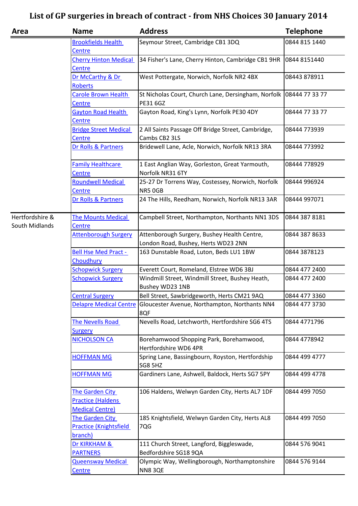| Area            | <b>Name</b>                                   | <b>Address</b>                                                      | <b>Telephone</b> |
|-----------------|-----------------------------------------------|---------------------------------------------------------------------|------------------|
|                 | <b>Brookfields Health</b>                     | Seymour Street, Cambridge CB1 3DQ                                   | 0844 815 1440    |
|                 | Centre                                        |                                                                     |                  |
|                 | <b>Cherry Hinton Medical</b>                  | 34 Fisher's Lane, Cherry Hinton, Cambridge CB1 9HR                  | 0844 8151440     |
|                 | <b>Centre</b>                                 |                                                                     |                  |
|                 | Dr McCarthy & Dr                              | West Pottergate, Norwich, Norfolk NR2 4BX                           | 08443 878911     |
|                 | <b>Roberts</b>                                |                                                                     |                  |
|                 | Carole Brown Health                           | St Nicholas Court, Church Lane, Dersingham, Norfolk                 | 08444 77 33 77   |
|                 | Centre                                        | PE31 6GZ                                                            |                  |
|                 | Gayton Road Health                            | Gayton Road, King's Lynn, Norfolk PE30 4DY                          | 08444 77 33 77   |
|                 | <b>Centre</b>                                 |                                                                     |                  |
|                 | <b>Bridge Street Medical</b><br><b>Centre</b> | 2 All Saints Passage Off Bridge Street, Cambridge,<br>Cambs CB2 3LS | 08444 773939     |
|                 | Dr Rolls & Partners                           | Bridewell Lane, Acle, Norwich, Norfolk NR13 3RA                     | 08444 773992     |
|                 |                                               |                                                                     |                  |
|                 | <b>Family Healthcare</b>                      | 1 East Anglian Way, Gorleston, Great Yarmouth,                      | 08444 778929     |
|                 | <b>Centre</b>                                 | Norfolk NR31 6TY                                                    |                  |
|                 | <b>Roundwell Medical</b>                      | 25-27 Dr Torrens Way, Costessey, Norwich, Norfolk                   | 08444 996924     |
|                 | Centre                                        | NR5 OGB                                                             |                  |
|                 | Dr Rolls & Partners                           | 24 The Hills, Reedham, Norwich, Norfolk NR13 3AR                    | 08444 997071     |
| Hertfordshire & | <b>The Mounts Medical</b>                     | Campbell Street, Northampton, Northants NN1 3DS                     | 0844 387 8181    |
| South Midlands  | <b>Centre</b>                                 |                                                                     |                  |
|                 | <b>Attenborough Surgery</b>                   | Attenborough Surgery, Bushey Health Centre,                         | 0844 387 8633    |
|                 |                                               | London Road, Bushey, Herts WD23 2NN                                 |                  |
|                 | <b>Bell Hse Med Pract -</b>                   | 163 Dunstable Road, Luton, Beds LU1 1BW                             | 0844 3878123     |
|                 | <b>Choudhury</b>                              |                                                                     |                  |
|                 | <b>Schopwick Surgery</b>                      | Everett Court, Romeland, Elstree WD6 3BJ                            | 0844 477 2400    |
|                 | <b>Schopwick Surgery</b>                      | Windmill Street, Windmill Street, Bushey Heath,                     | 0844 477 2400    |
|                 |                                               | Bushey WD23 1NB                                                     |                  |
|                 | <b>Central Surgery</b>                        | Bell Street, Sawbridgeworth, Herts CM21 9AQ                         | 0844 477 3360    |
|                 | <b>Delapre Medical Centre</b>                 | Gloucester Avenue, Northampton, Northants NN4                       | 0844 477 3730    |
|                 |                                               | 8QF                                                                 |                  |
|                 | The Nevells Road                              | Nevells Road, Letchworth, Hertfordshire SG6 4TS                     | 0844 4771796     |
|                 | <b>Surgery</b>                                |                                                                     |                  |
|                 | <b>NICHOLSON CA</b>                           | Borehamwood Shopping Park, Borehamwood,                             | 0844 4778942     |
|                 |                                               | Hertfordshire WD6 4PR                                               | 0844 499 4777    |
|                 | <b>HOFFMAN MG</b>                             | Spring Lane, Bassingbourn, Royston, Hertfordship<br>SG8 5HZ         |                  |
|                 | <b>HOFFMAN MG</b>                             | Gardiners Lane, Ashwell, Baldock, Herts SG7 5PY                     | 0844 499 4778    |
|                 |                                               |                                                                     |                  |
|                 | The Garden City                               | 106 Haldens, Welwyn Garden City, Herts AL7 1DF                      | 0844 499 7050    |
|                 | <b>Practice (Haldens</b>                      |                                                                     |                  |
|                 | <b>Medical Centre)</b>                        |                                                                     |                  |
|                 | The Garden City                               | 185 Knightsfield, Welwyn Garden City, Herts AL8                     | 0844 499 7050    |
|                 | <b>Practice (Knightsfield</b>                 | 7QG                                                                 |                  |
|                 | branch)                                       |                                                                     |                  |
|                 | Dr KIRKHAM &                                  | 111 Church Street, Langford, Biggleswade,                           | 0844 576 9041    |
|                 | <b>PARTNERS</b>                               | Bedfordshire SG18 9QA                                               |                  |
|                 | <b>Queensway Medical</b>                      | Olympic Way, Wellingborough, Northamptonshire                       | 0844 576 9144    |
|                 | <b>Centre</b>                                 | NN83QE                                                              |                  |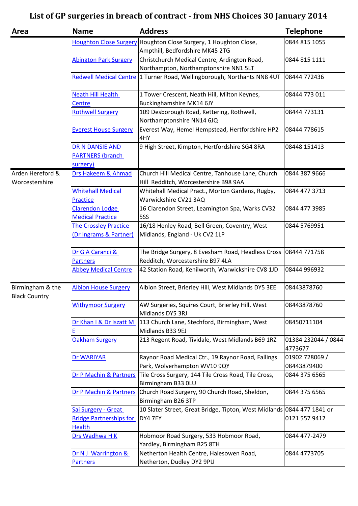| Area                                     | <b>Name</b>                                                  | <b>Address</b>                                                                             | <b>Telephone</b>               |
|------------------------------------------|--------------------------------------------------------------|--------------------------------------------------------------------------------------------|--------------------------------|
|                                          | <b>Houghton Close Surgery</b>                                | Houghton Close Surgery, 1 Houghton Close,                                                  | 0844 815 1055                  |
|                                          |                                                              | Ampthill, Bedfordshire MK45 2TG                                                            |                                |
|                                          | <b>Abington Park Surgery</b>                                 | Christchurch Medical Centre, Ardington Road,                                               | 0844 815 1111                  |
|                                          |                                                              | Northampton, Northamptonshire NN1 5LT                                                      |                                |
|                                          |                                                              | Redwell Medical Centre 1 Turner Road, Wellingborough, Northants NN8 4UT                    | 08444 772436                   |
|                                          | Neath Hill Health<br><b>Centre</b>                           | 1 Tower Crescent, Neath Hill, Milton Keynes,<br>Buckinghamshire MK14 6JY                   | 08444 773 011                  |
|                                          | <b>Rothwell Surgery</b>                                      | 109 Desborough Road, Kettering, Rothwell,<br>Northamptonshire NN14 6JQ                     | 08444 773131                   |
|                                          | <b>Everest House Surgery</b>                                 | Everest Way, Hemel Hempstead, Hertfordshire HP2<br>4HY                                     | 08444 778615                   |
|                                          | DR N DANSIE AND<br><b>PARTNERS (branch</b>                   | 9 High Street, Kimpton, Hertfordshire SG4 8RA                                              | 08448 151413                   |
|                                          | surgery)                                                     |                                                                                            |                                |
| Arden Hereford &<br>Worcestershire       | Drs Hakeem & Ahmad                                           | Church Hill Medical Centre, Tanhouse Lane, Church<br>Hill Redditch, Worcestershire B98 9AA | 0844 387 9666                  |
|                                          | <b>Whitehall Medical</b><br>Practice                         | Whitehall Medical Pract., Morton Gardens, Rugby,<br>Warwickshire CV21 3AQ                  | 0844 477 3713                  |
|                                          | Clarendon Lodge<br><b>Medical Practice</b>                   | 16 Clarendon Street, Leamington Spa, Warks CV32<br><b>5SS</b>                              | 0844 477 3985                  |
|                                          | <b>The Crossley Practice</b>                                 | 16/18 Henley Road, Bell Green, Coventry, West                                              | 0844 5769951                   |
|                                          | (Dr Ingrams & Partner)                                       | Midlands, England - Uk CV2 1LP                                                             |                                |
|                                          | Dr G A Caranci &<br><b>Partners</b>                          | The Bridge Surgery, 8 Evesham Road, Headless Cross<br>Redditch, Worcestershire B97 4LA     | 08444 771758                   |
|                                          | <b>Abbey Medical Centre</b>                                  | 42 Station Road, Kenilworth, Warwickshire CV8 1JD                                          | 08444 996932                   |
| Birmingham & the<br><b>Black Country</b> | <b>Albion House Surgery</b>                                  | Albion Street, Brierley Hill, West Midlands DY5 3EE                                        | 08443878760                    |
|                                          | <b>Withymoor Surgery</b>                                     | AW Surgeries, Squires Court, Brierley Hill, West<br>Midlands DY5 3RJ                       | 08443878760                    |
|                                          | Dr Khan I & Dr Iszatt M                                      | 113 Church Lane, Stechford, Birmingham, West<br>Midlands B33 9EJ                           | 08450711104                    |
|                                          | <b>Oakham Surgery</b>                                        | 213 Regent Road, Tividale, West Midlands B69 1RZ                                           | 01384 232044 / 0844<br>4773677 |
|                                          | Dr WARIYAR                                                   | Raynor Road Medical Ctr., 19 Raynor Road, Fallings<br>Park, Wolverhampton WV10 9QY         | 01902 728069 /<br>08443879400  |
|                                          | Dr P Machin & Partners                                       | Tile Cross Surgery, 144 Tile Cross Road, Tile Cross,<br>Birmingham B33 OLU                 | 0844 375 6565                  |
|                                          | Dr P Machin & Partners                                       | Church Road Surgery, 90 Church Road, Sheldon,<br>Birmingham B26 3TP                        | 0844 375 6565                  |
|                                          | <b>Sai Surgery - Great</b><br><b>Bridge Partnerships for</b> | 10 Slater Street, Great Bridge, Tipton, West Midlands 0844 477 1841 or<br>DY4 7EY          | 0121 557 9412                  |
|                                          | <b>Health</b>                                                |                                                                                            |                                |
|                                          | Drs Wadhwa H K                                               | Hobmoor Road Surgery, 533 Hobmoor Road,<br>Yardley, Birmingham B25 8TH                     | 0844 477-2479                  |
|                                          | Dr N J Warrington &<br><b>Partners</b>                       | Netherton Health Centre, Halesowen Road,<br>Netherton, Dudley DY2 9PU                      | 0844 4773705                   |
|                                          |                                                              |                                                                                            |                                |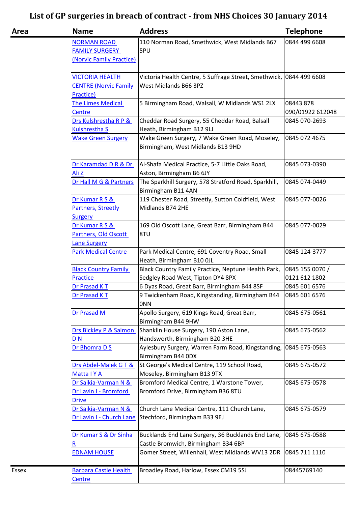| Area  | <b>Name</b>                        | <b>Address</b>                                                                       | <b>Telephone</b>             |
|-------|------------------------------------|--------------------------------------------------------------------------------------|------------------------------|
|       | <b>NORMAN ROAD</b>                 | 110 Norman Road, Smethwick, West Midlands B67                                        | 0844 499 6608                |
|       | <b>FAMILY SURGERY</b>              | 5PU                                                                                  |                              |
|       | (Norvic Family Practice)           |                                                                                      |                              |
|       |                                    |                                                                                      |                              |
|       | <b>VICTORIA HEALTH</b>             | Victoria Health Centre, 5 Suffrage Street, Smethwick,                                | 0844 499 6608                |
|       | <b>CENTRE (Norvic Family</b>       | West Midlands B66 3PZ                                                                |                              |
|       | Practice)                          |                                                                                      |                              |
|       | <b>The Limes Medical</b><br>Centre | 5 Birmingham Road, Walsall, W Midlands WS1 2LX                                       | 08443878<br>090/01922 612048 |
|       | Drs Kulshrestha R P &              | Cheddar Road Surgery, 55 Cheddar Road, Balsall                                       | 0845 070-2693                |
|       | <b>Kulshrestha S</b>               | Heath, Birmingham B12 9LJ                                                            |                              |
|       | <b>Wake Green Surgery</b>          | Wake Green Surgery, 7 Wake Green Road, Moseley,                                      | 0845 072 4675                |
|       |                                    | Birmingham, West Midlands B13 9HD                                                    |                              |
|       |                                    |                                                                                      |                              |
|       | Dr Karamdad D R & Dr               | Al-Shafa Medical Practice, 5-7 Little Oaks Road,                                     | 0845 073-0390                |
|       | Ali Z                              | Aston, Birmingham B6 6JY                                                             |                              |
|       | Dr Hall M G & Partners             | The Sparkhill Surgery, 578 Stratford Road, Sparkhill,                                | 0845 074-0449                |
|       |                                    | Birmingham B11 4AN                                                                   |                              |
|       | Dr Kumar R S &                     | 119 Chester Road, Streetly, Sutton Coldfield, West                                   | 0845 077-0026                |
|       | Partners, Streetly                 | Midlands B74 2HE                                                                     |                              |
|       | <b>Surgery</b><br>Dr Kumar R S &   | 169 Old Oscott Lane, Great Barr, Birmingham B44                                      | 0845 077-0029                |
|       | Partners, Old Oscott               | 8TU                                                                                  |                              |
|       | <b>Lane Surgery</b>                |                                                                                      |                              |
|       | <b>Park Medical Centre</b>         | Park Medical Centre, 691 Coventry Road, Small                                        | 0845 124-3777                |
|       |                                    | Heath, Birmingham B10 OJL                                                            |                              |
|       | <b>Black Country Family</b>        | Black Country Family Practice, Neptune Health Park,                                  | 0845 155 0070 /              |
|       | Practice                           | Sedgley Road West, Tipton DY4 8PX                                                    | 0121 612 1802                |
|       | Dr Prasad KT                       | 6 Dyas Road, Great Barr, Birmingham B44 8SF                                          | 0845 601 6576                |
|       | Dr Prasad KT                       | 9 Twickenham Road, Kingstanding, Birmingham B44                                      | 0845 601 6576                |
|       |                                    | <b>ONN</b>                                                                           |                              |
|       | Dr Prasad M                        | Apollo Surgery, 619 Kings Road, Great Barr,                                          | 0845 675-0561                |
|       |                                    | Birmingham B44 9HW                                                                   |                              |
|       | Drs Bickley P & Salmon             | Shanklin House Surgery, 190 Aston Lane,                                              | 0845 675-0562                |
|       | D <sub>N</sub><br>Dr Bhomra D S    | Handsworth, Birmingham B20 3HE<br>Aylesbury Surgery, Warren Farm Road, Kingstanding, | 0845 675-0563                |
|       |                                    | Birmingham B44 ODX                                                                   |                              |
|       | Drs Abdel-Malek G T &              | St George's Medical Centre, 119 School Road,                                         | 0845 675-0572                |
|       | Matta IYA                          | Moseley, Birmingham B13 9TX                                                          |                              |
|       | Dr Saikia-Varman N &               | Bromford Medical Centre, 1 Warstone Tower,                                           | 0845 675-0578                |
|       | Dr Lavin I - Bromford              | Bromford Drive, Birmingham B36 8TU                                                   |                              |
|       | <b>Drive</b>                       |                                                                                      |                              |
|       | Dr Saikia-Varman N &               | Church Lane Medical Centre, 111 Church Lane,                                         | 0845 675-0579                |
|       | Dr Lavin I - Church Lane           | Stechford, Birmingham B33 9EJ                                                        |                              |
|       | Dr Kumar S & Dr Sinha              | Bucklands End Lane Surgery, 36 Bucklands End Lane,                                   | 0845 675-0588                |
|       |                                    | Castle Bromwich, Birmingham B34 6BP                                                  |                              |
|       | <b>EDNAM HOUSE</b>                 | Gomer Street, Willenhall, West Midlands WV13 2DR                                     | 0845 711 1110                |
|       |                                    |                                                                                      |                              |
| Essex | <b>Barbara Castle Health</b>       | Broadley Road, Harlow, Essex CM19 5SJ                                                | 08445769140                  |
|       | <b>Centre</b>                      |                                                                                      |                              |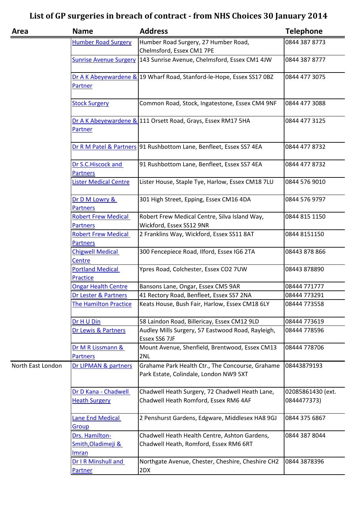| Area              | <b>Name</b>                                   | <b>Address</b>                                                                             | <b>Telephone</b>                 |
|-------------------|-----------------------------------------------|--------------------------------------------------------------------------------------------|----------------------------------|
|                   | <b>Humber Road Surgery</b>                    | Humber Road Surgery, 27 Humber Road,<br>Chelmsford, Essex CM1 7PE                          | 0844 387 8773                    |
|                   | <b>Sunrise Avenue Surgery</b>                 | 143 Sunrise Avenue, Chelmsford, Essex CM1 4JW                                              | 0844 387 8777                    |
|                   |                                               | Dr A K Abeyewardene & 19 Wharf Road, Stanford-le-Hope, Essex SS17 0BZ                      | 0844 477 3075                    |
|                   | Partner                                       |                                                                                            |                                  |
|                   | <b>Stock Surgery</b>                          | Common Road, Stock, Ingatestone, Essex CM4 9NF                                             | 0844 477 3088                    |
|                   | Partner                                       | Dr A K Abeyewardene & 111 Orsett Road, Grays, Essex RM17 5HA                               | 0844 477 3125                    |
|                   |                                               | Dr R M Patel & Partners 91 Rushbottom Lane, Benfleet, Essex SS7 4EA                        | 0844 477 8732                    |
|                   | Dr S.C. Hiscock and<br><b>Partners</b>        | 91 Rushbottom Lane, Benfleet, Essex SS7 4EA                                                | 0844 477 8732                    |
|                   | <b>Lister Medical Centre</b>                  | Lister House, Staple Tye, Harlow, Essex CM18 7LU                                           | 0844 576 9010                    |
|                   | Dr D M Lowry &<br><b>Partners</b>             | 301 High Street, Epping, Essex CM16 4DA                                                    | 0844 576 9797                    |
|                   | <b>Robert Frew Medical</b><br><b>Partners</b> | Robert Frew Medical Centre, Silva Island Way,<br>Wickford, Essex SS12 9NR                  | 0844 815 1150                    |
|                   | <b>Robert Frew Medical</b><br><b>Partners</b> | 2 Franklins Way, Wickford, Essex SS11 8AT                                                  | 0844 8151150                     |
|                   | <b>Chigwell Medical</b><br><b>Centre</b>      | 300 Fencepiece Road, Ilford, Essex IG6 2TA                                                 | 08443 878 866                    |
|                   | <b>Portland Medical</b><br><b>Practice</b>    | Ypres Road, Colchester, Essex CO2 7UW                                                      | 08443 878890                     |
|                   | <b>Ongar Health Centre</b>                    | Bansons Lane, Ongar, Essex CM5 9AR                                                         | 08444 771777                     |
|                   | Dr Lester & Partners                          | 41 Rectory Road, Benfleet, Essex SS7 2NA                                                   | 08444 773291                     |
|                   | <b>The Hamilton Practice</b>                  | Keats House, Bush Fair, Harlow, Essex CM18 6LY                                             | 08444 773558                     |
|                   | Dr H U Din                                    | 58 Laindon Road, Billericay, Essex CM12 9LD                                                | 08444 773619                     |
|                   | Dr Lewis & Partners                           | Audley Mills Surgery, 57 Eastwood Road, Rayleigh,<br>Essex SS6 7JF                         | 08444 778596                     |
|                   | Dr M R Lissmann &<br><b>Partners</b>          | Mount Avenue, Shenfield, Brentwood, Essex CM13<br>2NL                                      | 08444 778706                     |
| North East London | Dr LIPMAN & partners                          | Grahame Park Health Ctr., The Concourse, Grahame<br>Park Estate, Colindale, London NW9 5XT | 08443879193                      |
|                   | Dr D Kana - Chadwell<br><b>Heath Surgery</b>  | Chadwell Heath Surgery, 72 Chadwell Heath Lane,<br>Chadwell Heath Romford, Essex RM6 4AF   | 02085861430 (ext.<br>0844477373) |
|                   | Lane End Medical<br>Group                     | 2 Penshurst Gardens, Edgware, Middlesex HA8 9GJ                                            | 0844 375 6867                    |
|                   | Drs. Hamilton-<br>Smith, Oladimeji &          | Chadwell Heath Health Centre, Ashton Gardens,<br>Chadwell Heath, Romford, Essex RM6 6RT    | 0844 387 8044                    |
|                   | Imran<br>Dr I R Minshull and                  | Northgate Avenue, Chester, Cheshire, Cheshire CH2                                          | 0844 3878396                     |
|                   | Partner                                       | 2DX                                                                                        |                                  |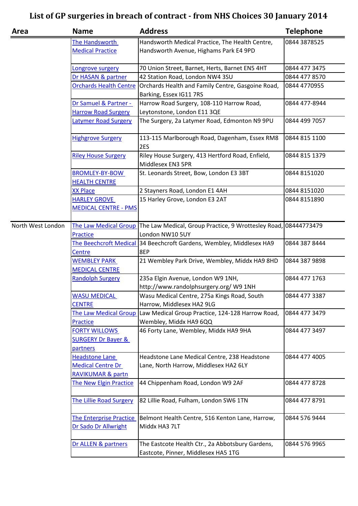| Area              | <b>Name</b>                                       | <b>Address</b>                                                                          | <b>Telephone</b> |
|-------------------|---------------------------------------------------|-----------------------------------------------------------------------------------------|------------------|
|                   | The Handsworth                                    | Handsworth Medical Practice, The Health Centre,                                         | 0844 3878525     |
|                   | <b>Medical Practice</b>                           | Handsworth Avenue, Highams Park E4 9PD                                                  |                  |
|                   |                                                   |                                                                                         |                  |
|                   | Longrove surgery                                  | 70 Union Street, Barnet, Herts, Barnet EN5 4HT                                          | 0844 477 3475    |
|                   | Dr HASAN & partner                                | 42 Station Road, London NW4 3SU                                                         | 0844 477 8570    |
|                   | <b>Orchards Health Centre</b>                     | Orchards Health and Family Centre, Gasgoine Road,                                       | 0844 4770955     |
|                   |                                                   | Barking, Essex IG11 7RS                                                                 |                  |
|                   | Dr Samuel & Partner -                             | Harrow Road Surgery, 108-110 Harrow Road,                                               | 0844 477-8944    |
|                   | <b>Harrow Road Surgery</b>                        | Leytonstone, London E11 3QE                                                             |                  |
|                   | Latymer Road Surgery                              | The Surgery, 2a Latymer Road, Edmonton N9 9PU                                           | 0844 499 7057    |
|                   | <b>Highgrove Surgery</b>                          | 113-115 Marlborough Road, Dagenham, Essex RM8<br>2ES                                    | 0844 815 1100    |
|                   | <b>Riley House Surgery</b>                        | Riley House Surgery, 413 Hertford Road, Enfield,<br>Middlesex EN3 5PR                   | 0844 815 1379    |
|                   | <b>BROMLEY-BY-BOW</b><br><b>HEALTH CENTRE</b>     | St. Leonards Street, Bow, London E3 3BT                                                 | 0844 8151020     |
|                   | <b>XX Place</b>                                   | 2 Stayners Road, London E1 4AH                                                          | 0844 8151020     |
|                   | <b>HARLEY GROVE</b>                               | 15 Harley Grove, London E3 2AT                                                          | 0844 8151890     |
|                   | <b>MEDICAL CENTRE - PMS</b>                       |                                                                                         |                  |
| North West London | <b>The Law Medical Group</b>                      | The Law Medical, Group Practice, 9 Wrottesley Road, 08444773479                         |                  |
|                   | Practice                                          | London NW10 5UY                                                                         |                  |
|                   |                                                   | The Beechcroft Medical 34 Beechcroft Gardens, Wembley, Middlesex HA9                    | 0844 387 8444    |
|                   | <b>Centre</b>                                     | 8EP                                                                                     |                  |
|                   | <b>WEMBLEY PARK</b>                               | 21 Wembley Park Drive, Wembley, Middx HA9 8HD                                           | 0844 387 9898    |
|                   | <b>MEDICAL CENTRE</b>                             |                                                                                         |                  |
|                   | <b>Randolph Surgery</b>                           | 235a Elgin Avenue, London W9 1NH,                                                       | 0844 477 1763    |
|                   |                                                   | http://www.randolphsurgery.org/ W9 1NH                                                  |                  |
|                   | <b>WASU MEDICAL</b>                               | Wasu Medical Centre, 275a Kings Road, South                                             | 0844 477 3387    |
|                   | <b>CENTRE</b>                                     | Harrow, Middlesex HA2 9LG                                                               |                  |
|                   |                                                   | The Law Medical Group Law Medical Group Practice, 124-128 Harrow Road,                  | 0844 477 3479    |
|                   | <b>Practice</b>                                   | Wembley, Middx HA9 6QQ                                                                  |                  |
|                   | <b>FORTY WILLOWS</b>                              | 46 Forty Lane, Wembley, Middx HA9 9HA                                                   | 0844 477 3497    |
|                   | <b>SURGERY Dr Bayer &amp;</b>                     |                                                                                         |                  |
|                   | partners                                          |                                                                                         |                  |
|                   | <b>Headstone Lane</b><br><b>Medical Centre Dr</b> | Headstone Lane Medical Centre, 238 Headstone<br>Lane, North Harrow, Middlesex HA2 6LY   | 0844 477 4005    |
|                   | RAVIKUMAR & partn                                 |                                                                                         |                  |
|                   | The New Elgin Practice                            | 44 Chippenham Road, London W9 2AF                                                       | 0844 477 8728    |
|                   |                                                   |                                                                                         |                  |
|                   | The Lillie Road Surgery                           | 82 Lillie Road, Fulham, London SW6 1TN                                                  | 0844 477 8791    |
|                   | <b>The Enterprise Practice</b>                    | Belmont Health Centre, 516 Kenton Lane, Harrow,                                         | 0844 576 9444    |
|                   | Dr Sado Dr Allwright                              | Middx HA3 7LT                                                                           |                  |
|                   | Dr ALLEN & partners                               | The Eastcote Health Ctr., 2a Abbotsbury Gardens,<br>Eastcote, Pinner, Middlesex HA5 1TG | 0844 576 9965    |
|                   |                                                   |                                                                                         |                  |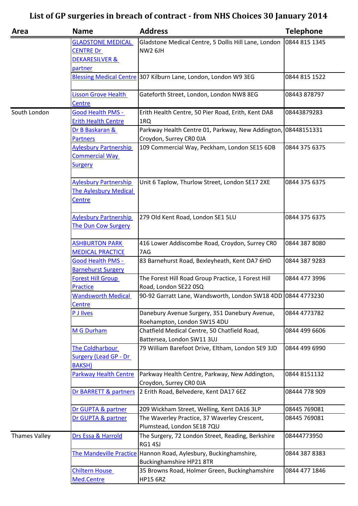| Area                 | <b>Name</b>                                                                          | <b>Address</b>                                                                             | <b>Telephone</b>             |
|----------------------|--------------------------------------------------------------------------------------|--------------------------------------------------------------------------------------------|------------------------------|
|                      | <b>GLADSTONE MEDICAL</b><br><b>CENTRE Dr</b><br><b>DEKARESILVER &amp;</b><br>partner | Gladstone Medical Centre, 5 Dollis Hill Lane, London<br><b>NW2 6JH</b>                     | 0844 815 1345                |
|                      |                                                                                      | Blessing Medical Centre 307 Kilburn Lane, London, London W9 3EG                            | 0844 815 1522                |
|                      | <b>Lisson Grove Health</b><br><b>Centre</b>                                          | Gateforth Street, London, London NW8 8EG                                                   | 08443 878797                 |
| South London         | <b>Good Health PMS -</b><br><b>Erith Health Centre</b>                               | Erith Health Centre, 50 Pier Road, Erith, Kent DA8<br>1RQ                                  | 08443879283                  |
|                      | Dr B Baskaran &<br><b>Partners</b>                                                   | Parkway Health Centre 01, Parkway, New Addington, 08448151331<br>Croydon, Surrey CR0 0JA   |                              |
|                      | <b>Aylesbury Partnership</b><br><b>Commercial Way</b><br><b>Surgery</b>              | 109 Commercial Way, Peckham, London SE15 6DB                                               | 0844 375 6375                |
|                      | <b>Aylesbury Partnership</b><br><b>The Aylesbury Medical</b><br>Centre               | Unit 6 Taplow, Thurlow Street, London SE17 2XE                                             | 0844 375 6375                |
|                      | <b>Aylesbury Partnership</b><br>The Dun Cow Surgery                                  | 279 Old Kent Road, London SE1 5LU                                                          | 0844 375 6375                |
|                      | <b>ASHBURTON PARK</b><br><b>MEDICAL PRACTICE</b>                                     | 416 Lower Addiscombe Road, Croydon, Surrey CRO<br>7AG                                      | 0844 387 8080                |
|                      | <b>Good Health PMS -</b><br><b>Barnehurst Surgery</b>                                | 83 Barnehurst Road, Bexleyheath, Kent DA7 6HD                                              | 0844 387 9283                |
|                      | <b>Forest Hill Group</b><br><b>Practice</b>                                          | The Forest Hill Road Group Practice, 1 Forest Hill<br>Road, London SE22 0SQ                | 0844 477 3996                |
|                      | <b>Wandsworth Medical</b><br>Centre                                                  | 90-92 Garratt Lane, Wandsworth, London SW18 4DD 0844 4773230                               |                              |
|                      | P J Ilves                                                                            | Danebury Avenue Surgery, 351 Danebury Avenue,<br>Roehampton, London SW15 4DU               | 0844 4773782                 |
|                      | M G Durham                                                                           | Chatfield Medical Centre, 50 Chatfield Road,<br>Battersea, London SW11 3UJ                 | 0844 499 6606                |
|                      | The Coldharbour<br><b>Surgery (Lead GP - Dr</b><br><b>BAKSH)</b>                     | 79 William Barefoot Drive, Eltham, London SE9 3JD                                          | 0844 499 6990                |
|                      | Parkway Health Centre                                                                | Parkway Health Centre, Parkway, New Addington,<br>Croydon, Surrey CRO OJA                  | 0844 8151132                 |
|                      | Dr BARRETT & partners                                                                | 2 Erith Road, Belvedere, Kent DA17 6EZ                                                     | 08444 778 909                |
|                      | Dr GUPTA & partner<br>Dr GUPTA & partner                                             | 209 Wickham Street, Welling, Kent DA16 3LP<br>The Waverley Practice, 37 Waverley Crescent, | 08445 769081<br>08445 769081 |
|                      |                                                                                      | Plumstead, London SE18 7QU                                                                 |                              |
| <b>Thames Valley</b> | Drs Essa & Harrold                                                                   | The Surgery, 72 London Street, Reading, Berkshire<br>RG1 4SJ                               | 08444773950                  |
|                      | <b>The Mandeville Practice</b>                                                       | Hannon Road, Aylesbury, Buckinghamshire,<br>Buckinghamshire HP21 8TR                       | 0844 387 8383                |
|                      | <b>Chiltern House</b><br>Med.Centre                                                  | 35 Browns Road, Holmer Green, Buckinghamshire<br><b>HP15 6RZ</b>                           | 0844 477 1846                |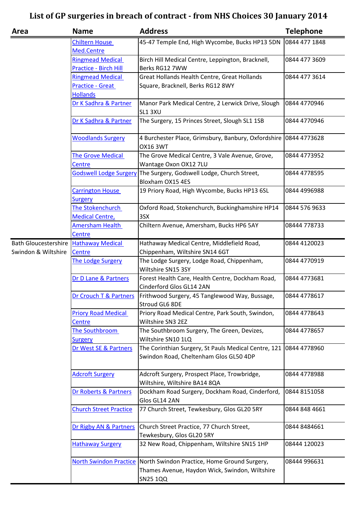| Area                                    | <b>Name</b>                                      | <b>Address</b>                                                                                 | <b>Telephone</b> |
|-----------------------------------------|--------------------------------------------------|------------------------------------------------------------------------------------------------|------------------|
|                                         | <b>Chiltern House</b><br>Med.Centre              | 45-47 Temple End, High Wycombe, Bucks HP13 5DN                                                 | 0844 477 1848    |
|                                         | <b>Ringmead Medical</b><br>Practice - Birch Hill | Birch Hill Medical Centre, Leppington, Bracknell,<br>Berks RG12 7WW                            | 0844 477 3609    |
|                                         | <b>Ringmead Medical</b>                          | Great Hollands Health Centre, Great Hollands                                                   | 0844 477 3614    |
|                                         | <b>Practice - Great</b>                          | Square, Bracknell, Berks RG12 8WY                                                              |                  |
|                                         | <b>Hollands</b>                                  |                                                                                                |                  |
|                                         | Dr K Sadhra & Partner                            | Manor Park Medical Centre, 2 Lerwick Drive, Slough<br>SL1 3XU                                  | 0844 4770946     |
|                                         | Dr K Sadhra & Partner                            | The Surgery, 15 Princes Street, Slough SL1 1SB                                                 | 0844 4770946     |
|                                         | <b>Woodlands Surgery</b>                         | 4 Burchester Place, Grimsbury, Banbury, Oxfordshire 0844 4773628<br><b>OX16 3WT</b>            |                  |
|                                         | The Grove Medical                                | The Grove Medical Centre, 3 Vale Avenue, Grove,                                                | 0844 4773952     |
|                                         | <b>Centre</b><br><b>Godswell Lodge Surgery</b>   | Wantage Oxon OX12 7LU<br>The Surgery, Godswell Lodge, Church Street,                           | 0844 4778595     |
|                                         |                                                  | Bloxham OX15 4ES                                                                               |                  |
|                                         | <b>Carrington House</b><br><b>Surgery</b>        | 19 Priory Road, High Wycombe, Bucks HP13 6SL                                                   | 0844 4996988     |
|                                         | The Stokenchurch                                 | Oxford Road, Stokenchurch, Buckinghamshire HP14                                                | 0844 576 9633    |
|                                         | <b>Medical Centre,</b>                           | 3SX                                                                                            |                  |
|                                         | Amersham Health                                  | Chiltern Avenue, Amersham, Bucks HP6 5AY                                                       | 08444 778733     |
|                                         | <b>Centre</b>                                    |                                                                                                |                  |
| Bath Gloucestershire   Hathaway Medical |                                                  | Hathaway Medical Centre, Middlefield Road,                                                     | 0844 4120023     |
| Swindon & Wiltshire                     | Centre                                           | Chippenham, Wiltshire SN14 6GT                                                                 |                  |
|                                         | The Lodge Surgery                                | The Lodge Surgery, Lodge Road, Chippenham,<br>Wiltshire SN15 3SY                               | 0844 4770919     |
|                                         | Dr D Lane & Partners                             | Forest Health Care, Health Centre, Dockham Road,<br>Cinderford Glos GL14 2AN                   | 0844 4773681     |
|                                         | Dr Crouch T & Partners                           | Frithwood Surgery, 45 Tanglewood Way, Bussage,<br>Stroud GL6 8DE                               | 0844 4778617     |
|                                         | <b>Priory Road Medical</b>                       | Priory Road Medical Centre, Park South, Swindon,                                               | 0844 4778643     |
|                                         | <b>Centre</b>                                    | Wiltshire SN3 2EZ                                                                              |                  |
|                                         | The Southbroom                                   | The Southbroom Surgery, The Green, Devizes,                                                    | 0844 4778657     |
|                                         | <b>Surgery</b>                                   | Wiltshire SN10 1LQ                                                                             |                  |
|                                         | Dr West SE & Partners                            | The Corinthian Surgery, St Pauls Medical Centre, 121<br>Swindon Road, Cheltenham Glos GL50 4DP | 0844 4778960     |
|                                         | <b>Adcroft Surgery</b>                           | Adcroft Surgery, Prospect Place, Trowbridge,<br>Wiltshire, Wiltshire BA14 8QA                  | 0844 4778988     |
|                                         | Dr Roberts & Partners                            | Dockham Road Surgery, Dockham Road, Cinderford,<br>Glos GL14 2AN                               | 0844 8151058     |
|                                         | <b>Church Street Practice</b>                    | 77 Church Street, Tewkesbury, Glos GL20 5RY                                                    | 0844 848 4661    |
|                                         | Dr Rigby AN & Partners                           | Church Street Practice, 77 Church Street,<br>Tewkesbury, Glos GL20 5RY                         | 0844 8484661     |
|                                         | <b>Hathaway Surgery</b>                          | 32 New Road, Chippenham, Wiltshire SN15 1HP                                                    | 08444 120023     |
|                                         | <b>North Swindon Practice</b>                    | North Swindon Practice, Home Ground Surgery,                                                   | 08444 996631     |
|                                         |                                                  | Thames Avenue, Haydon Wick, Swindon, Wiltshire                                                 |                  |
|                                         |                                                  | SN25 1QQ                                                                                       |                  |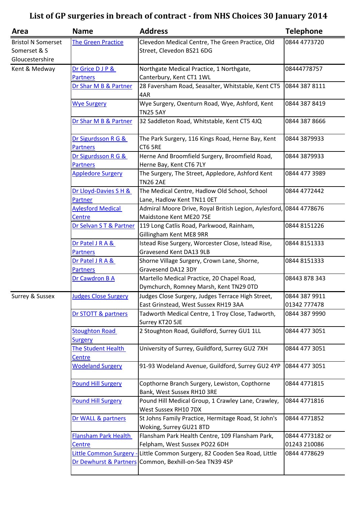| Area                      | <b>Name</b>                 | <b>Address</b>                                                                 | <b>Telephone</b> |
|---------------------------|-----------------------------|--------------------------------------------------------------------------------|------------------|
| <b>Bristol N Somerset</b> | <b>The Green Practice</b>   | Clevedon Medical Centre, The Green Practice, Old                               | 0844 4773720     |
| Somerset & S              |                             | Street, Clevedon BS21 6DG                                                      |                  |
| Gloucestershire           |                             |                                                                                |                  |
| Kent & Medway             | Dr Grice D J P &            | Northgate Medical Practice, 1 Northgate,                                       | 08444778757      |
|                           | <b>Partners</b>             | Canterbury, Kent CT1 1WL                                                       |                  |
|                           | Dr Shar M B & Partner       | 28 Faversham Road, Seasalter, Whitstable, Kent CT5<br>4AR                      | 0844 387 8111    |
|                           | <b>Wye Surgery</b>          | Wye Surgery, Oxenturn Road, Wye, Ashford, Kent<br><b>TN25 5AY</b>              | 0844 387 8419    |
|                           | Dr Shar M B & Partner       | 32 Saddleton Road, Whitstable, Kent CT5 4JQ                                    | 0844 387 8666    |
|                           | Dr Sigurdsson R G &         | The Park Surgery, 116 Kings Road, Herne Bay, Kent                              | 0844 3879933     |
|                           | <b>Partners</b>             | CT6 5RE                                                                        |                  |
|                           | Dr Sigurdsson R G &         | Herne And Broomfield Surgery, Broomfield Road,                                 | 0844 3879933     |
|                           | <b>Partners</b>             | Herne Bay, Kent CT6 7LY                                                        |                  |
|                           | <b>Appledore Surgery</b>    | The Surgery, The Street, Appledore, Ashford Kent<br><b>TN26 2AE</b>            | 0844 477 3989    |
|                           | Dr Lloyd-Davies S H &       | The Medical Centre, Hadlow Old School, School                                  | 0844 4772442     |
|                           | Partner                     | Lane, Hadlow Kent TN11 OET                                                     |                  |
|                           | <b>Aylesford Medical</b>    | Admiral Moore Drive, Royal British Legion, Aylesford,                          | 0844 4778676     |
|                           | <b>Centre</b>               | Maidstone Kent ME20 7SE                                                        |                  |
|                           | Dr Selvan S T & Partner     | 119 Long Catlis Road, Parkwood, Rainham,<br>Gillingham Kent ME8 9RR            | 0844 8151226     |
|                           | Dr Patel J R A &            | Istead Rise Surgery, Worcester Close, Istead Rise,                             | 0844 8151333     |
|                           | <b>Partners</b>             | Gravesend Kent DA13 9LB                                                        |                  |
|                           | Dr Patel J R A &            | Shorne Village Surgery, Crown Lane, Shorne,                                    | 0844 8151333     |
|                           | <b>Partners</b>             | Gravesend DA12 3DY                                                             |                  |
|                           | Dr Cawdron B A              | Martello Medical Practice, 20 Chapel Road,                                     | 08443 878 343    |
|                           |                             | Dymchurch, Romney Marsh, Kent TN29 0TD                                         |                  |
| Surrey & Sussex           | <b>Judges Close Surgery</b> | Judges Close Surgery, Judges Terrace High Street,                              | 0844 387 9911    |
|                           |                             | East Grinstead, West Sussex RH19 3AA                                           | 01342 777478     |
|                           | Dr STOTT & partners         | Tadworth Medical Centre, 1 Troy Close, Tadworth,<br>Surrey KT20 5JE            | 0844 387 9990    |
|                           | <b>Stoughton Road</b>       | 2 Stoughton Road, Guildford, Surrey GU1 1LL                                    | 0844 477 3051    |
|                           | <b>Surgery</b>              |                                                                                |                  |
|                           | <b>The Student Health</b>   | University of Surrey, Guildford, Surrey GU2 7XH                                | 0844 477 3051    |
|                           | <b>Centre</b>               |                                                                                |                  |
|                           | <b>Wodeland Surgery</b>     | 91-93 Wodeland Avenue, Guildford, Surrey GU2 4YP                               | 0844 477 3051    |
|                           | <b>Pound Hill Surgery</b>   | Copthorne Branch Surgery, Lewiston, Copthorne<br>Bank, West Sussex RH10 3RE    | 0844 4771815     |
|                           | <b>Pound Hill Surgery</b>   | Pound Hill Medical Group, 1 Crawley Lane, Crawley,<br>West Sussex RH10 7DX     | 0844 4771816     |
|                           | Dr WALL & partners          | St Johns Family Practice, Hermitage Road, St John's<br>Woking, Surrey GU21 8TD | 0844 4771852     |
|                           | <b>Flansham Park Health</b> | Flansham Park Health Centre, 109 Flansham Park,                                | 0844 4773182 or  |
|                           | Centre                      | Felpham, West Sussex PO22 6DH                                                  | 01243 210086     |
|                           | Little Common Surgery -     | Little Common Surgery, 82 Cooden Sea Road, Little                              | 0844 4778629     |
|                           |                             | Dr Dewhurst & Partners Common, Bexhill-on-Sea TN39 4SP                         |                  |
|                           |                             |                                                                                |                  |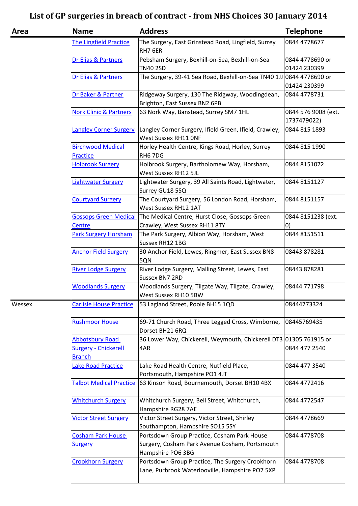| Area   | <b>Name</b>                                  | <b>Address</b>                                                                                                     | <b>Telephone</b>                |
|--------|----------------------------------------------|--------------------------------------------------------------------------------------------------------------------|---------------------------------|
|        | <b>The Lingfield Practice</b>                | The Surgery, East Grinstead Road, Lingfield, Surrey<br>RH7 6ER                                                     | 0844 4778677                    |
|        | Dr Elias & Partners                          | Pebsham Surgery, Bexhill-on-Sea, Bexhill-on-Sea<br><b>TN40 2SD</b>                                                 | 0844 4778690 or<br>01424 230399 |
|        |                                              |                                                                                                                    |                                 |
|        | Dr Elias & Partners                          | The Surgery, 39-41 Sea Road, Bexhill-on-Sea TN40 1JJ 0844 4778690 or                                               | 01424 230399                    |
|        | Dr Baker & Partner                           | Ridgeway Surgery, 130 The Ridgway, Woodingdean,<br>Brighton, East Sussex BN2 6PB                                   | 0844 4778731                    |
|        | <b>Nork Clinic &amp; Partners</b>            | 63 Nork Way, Banstead, Surrey SM7 1HL                                                                              | 0844 576 9008 (ext.             |
|        |                                              |                                                                                                                    | 1737479022)                     |
|        | <b>Langley Corner Surgery</b>                | Langley Corner Surgery, Ifield Green, Ifield, Crawley,<br>West Sussex RH11 ONF                                     | 0844 815 1893                   |
|        | <b>Birchwood Medical</b><br>Practice         | Horley Health Centre, Kings Road, Horley, Surrey<br>RH67DG                                                         | 0844 815 1990                   |
|        | <b>Holbrook Surgery</b>                      | Holbrook Surgery, Bartholomew Way, Horsham,<br>West Sussex RH12 5JL                                                | 0844 8151072                    |
|        | Lightwater Surgery                           | Lightwater Surgery, 39 All Saints Road, Lightwater,<br>Surrey GU18 5SQ                                             | 0844 8151127                    |
|        | <b>Courtyard Surgery</b>                     | The Courtyard Surgery, 56 London Road, Horsham,<br>West Sussex RH12 1AT                                            | 0844 8151157                    |
|        | <b>Gossops Green Medical</b>                 | The Medical Centre, Hurst Close, Gossops Green                                                                     | 0844 8151238 (ext.              |
|        | <b>Centre</b>                                | Crawley, West Sussex RH11 8TY                                                                                      | O)                              |
|        | <b>Park Surgery Horsham</b>                  | The Park Surgery, Albion Way, Horsham, West<br>Sussex RH12 1BG                                                     | 0844 8151511                    |
|        | <b>Anchor Field Surgery</b>                  | 30 Anchor Field, Lewes, Ringmer, East Sussex BN8<br>5QN                                                            | 08443 878281                    |
|        | <b>River Lodge Surgery</b>                   | River Lodge Surgery, Malling Street, Lewes, East<br><b>Sussex BN7 2RD</b>                                          | 08443 878281                    |
|        | <b>Woodlands Surgery</b>                     | Woodlands Surgery, Tilgate Way, Tilgate, Crawley,<br>West Sussex RH10 5BW                                          | 08444 771798                    |
| Wessex | <b>Carlisle House Practice</b>               | 53 Lagland Street, Poole BH15 1QD                                                                                  | 08444773324                     |
|        | <b>Rushmoor House</b>                        | 69-71 Church Road, Three Legged Cross, Wimborne,<br>Dorset BH21 6RQ                                                | 08445769435                     |
|        | <b>Abbotsbury Road</b>                       | 36 Lower Way, Chickerell, Weymouth, Chickerell DT3 01305 761915 or                                                 |                                 |
|        | <b>Surgery - Chickerell</b><br><b>Branch</b> | 4AR                                                                                                                | 0844 477 2540                   |
|        | Lake Road Practice                           | Lake Road Health Centre, Nutfield Place,                                                                           | 0844 477 3540                   |
|        |                                              | Portsmouth, Hampshire PO1 4JT                                                                                      |                                 |
|        | <b>Talbot Medical Practice</b>               | 63 Kinson Road, Bournemouth, Dorset BH10 4BX                                                                       | 0844 4772416                    |
|        | <b>Whitchurch Surgery</b>                    | Whitchurch Surgery, Bell Street, Whitchurch,<br>Hampshire RG28 7AE                                                 | 0844 4772547                    |
|        | <b>Victor Street Surgery</b>                 | Victor Street Surgery, Victor Street, Shirley<br>Southampton, Hampshire SO15 5SY                                   | 0844 4778669                    |
|        | <b>Cosham Park House</b><br><b>Surgery</b>   | Portsdown Group Practice, Cosham Park House<br>Surgery, Cosham Park Avenue Cosham, Portsmouth<br>Hampshire PO6 3BG | 0844 4778708                    |
|        | <b>Crookhorn Surgery</b>                     | Portsdown Group Practice, The Surgery Crookhorn<br>Lane, Purbrook Waterlooville, Hampshire PO7 5XP                 | 0844 4778708                    |
|        |                                              |                                                                                                                    |                                 |